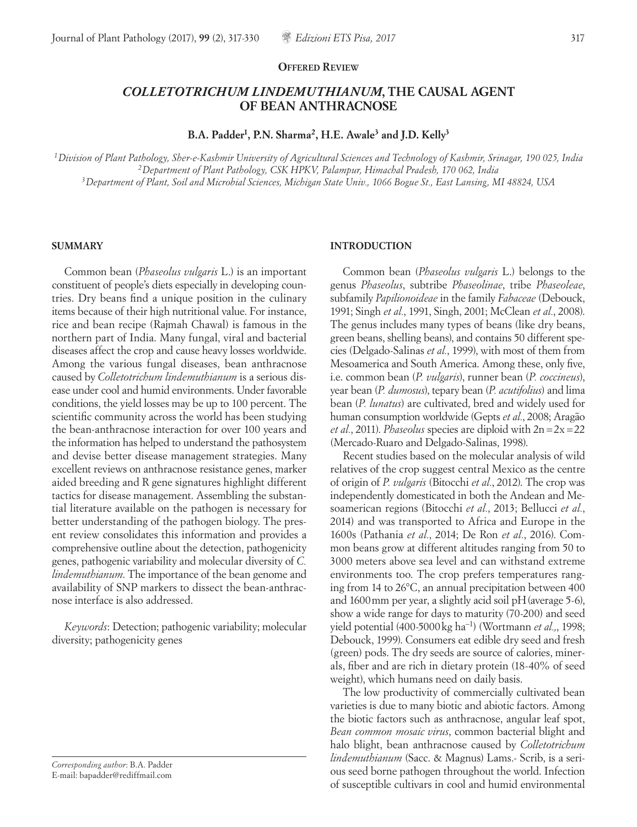#### **Offered Review**

# *COLLETOTRICHUM LINDEMUTHIANUM***, THE CAUSAL AGENT OF BEAN ANTHRACNOSE**

**B.A. Padder1, P.N. Sharma2, H.E. Awale3 and J.D. Kelly3**

*1Division of Plant Pathology, Sher-e-Kashmir University of Agricultural Sciences and Technology of Kashmir, Srinagar, 190 025, India 2Department of Plant Pathology, CSK HPKV, Palampur, Himachal Pradesh, 170 062, India 3Department of Plant, Soil and Microbial Sciences, Michigan State Univ., 1066 Bogue St., East Lansing, MI 48824, USA*

## **SUMMARY**

Common bean (*Phaseolus vulgaris* L.) is an important constituent of people's diets especially in developing countries. Dry beans find a unique position in the culinary items because of their high nutritional value. For instance, rice and bean recipe (Rajmah Chawal) is famous in the northern part of India. Many fungal, viral and bacterial diseases affect the crop and cause heavy losses worldwide. Among the various fungal diseases, bean anthracnose caused by *Colletotrichum lindemuthianum* is a serious disease under cool and humid environments. Under favorable conditions, the yield losses may be up to 100 percent. The scientific community across the world has been studying the bean-anthracnose interaction for over 100 years and the information has helped to understand the pathosystem and devise better disease management strategies. Many excellent reviews on anthracnose resistance genes, marker aided breeding and R gene signatures highlight different tactics for disease management. Assembling the substantial literature available on the pathogen is necessary for better understanding of the pathogen biology. The present review consolidates this information and provides a comprehensive outline about the detection, pathogenicity genes, pathogenic variability and molecular diversity of *C. lindemuthianum*. The importance of the bean genome and availability of SNP markers to dissect the bean-anthracnose interface is also addressed.

*Keywords*: Detection; pathogenic variability; molecular diversity; pathogenicity genes

*Corresponding author*: B.A. Padder E-mail: bapadder@rediffmail.com

## **INTRODUCTION**

Common bean (*Phaseolus vulgaris* L.) belongs to the genus *Phaseolus*, subtribe *Phaseolinae*, tribe *Phaseoleae*, subfamily *Papilionoideae* in the family *Fabaceae* (Debouck, 1991; Singh *et al.*, 1991, Singh, 2001; McClean *et al.*, 2008). The genus includes many types of beans (like dry beans, green beans, shelling beans), and contains 50 different species (Delgado-Salinas *et al.*, 1999), with most of them from Mesoamerica and South America. Among these, only five, i.e. common bean (*P. vulgaris*), runner bean (*P. coccineus*), year bean (*P. dumosus*), tepary bean (*P. acutifolius*) and lima bean (*P. lunatus*) are cultivated, bred and widely used for human consumption worldwide (Gepts *et al.*, 2008; Aragão *et al.*, 2011). *Phaseolus* species are diploid with 2n =2x=22 (Mercado-Ruaro and Delgado-Salinas, 1998).

Recent studies based on the molecular analysis of wild relatives of the crop suggest central Mexico as the centre of origin of *P. vulgaris* (Bitocchi *et al.*, 2012). The crop was independently domesticated in both the Andean and Mesoamerican regions (Bitocchi *et al.*, 2013; Bellucci *et al.*, 2014) and was transported to Africa and Europe in the 1600s (Pathania *et al.*, 2014; De Ron *et al.*, 2016). Common beans grow at different altitudes ranging from 50 to 3000 meters above sea level and can withstand extreme environments too. The crop prefers temperatures ranging from 14 to 26°C, an annual precipitation between 400 and 1600mm per year, a slightly acid soil pH(average 5-6), show a wide range for days to maturity (70-200) and seed yield potential (400-5000kg ha−1) (Wortmann *et al.,*, 1998; Debouck, 1999). Consumers eat edible dry seed and fresh (green) pods. The dry seeds are source of calories, minerals, fiber and are rich in dietary protein (18-40% of seed weight), which humans need on daily basis.

The low productivity of commercially cultivated bean varieties is due to many biotic and abiotic factors. Among the biotic factors such as anthracnose, angular leaf spot, *Bean common mosaic virus*, common bacterial blight and halo blight, bean anthracnose caused by *Colletotrichum lindemuthianum* (Sacc. & Magnus) Lams.- Scrib, is a serious seed borne pathogen throughout the world. Infection of susceptible cultivars in cool and humid environmental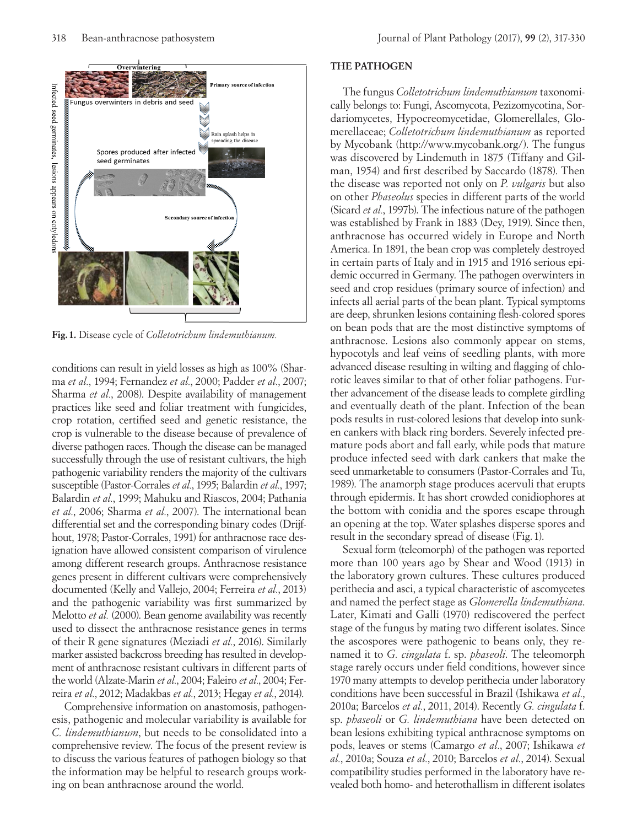

**Fig. 1.** Disease cycle of *Colletotrichum lindemuthianum.*

conditions can result in yield losses as high as 100% (Sharma *et al.*, 1994; Fernandez *et al.*, 2000; Padder *et al.*, 2007; Sharma *et al.*, 2008). Despite availability of management practices like seed and foliar treatment with fungicides, crop rotation, certified seed and genetic resistance, the crop is vulnerable to the disease because of prevalence of diverse pathogen races. Though the disease can be managed successfully through the use of resistant cultivars, the high pathogenic variability renders the majority of the cultivars susceptible (Pastor-Corrales *et al.*, 1995; Balardin *et al.*, 1997; Balardin *et al.*, 1999; Mahuku and Riascos, 2004; Pathania *et al.*, 2006; Sharma *et al.*, 2007). The international bean differential set and the corresponding binary codes (Drijfhout, 1978; Pastor-Corrales, 1991) for anthracnose race designation have allowed consistent comparison of virulence among different research groups. Anthracnose resistance genes present in different cultivars were comprehensively documented (Kelly and Vallejo, 2004; Ferreira *et al.*, 2013) and the pathogenic variability was first summarized by Melotto *et al.* (2000). Bean genome availability was recently used to dissect the anthracnose resistance genes in terms of their R gene signatures (Meziadi *et al.*, 2016). Similarly marker assisted backcross breeding has resulted in development of anthracnose resistant cultivars in different parts of the world (Alzate-Marin *et al.*, 2004; Faleiro *et al.*, 2004; Ferreira *et al.*, 2012; Madakbas *et al.*, 2013; Hegay *et al.*, 2014).

Comprehensive information on anastomosis, pathogenesis, pathogenic and molecular variability is available for *C. lindemuthianum*, but needs to be consolidated into a comprehensive review. The focus of the present review is to discuss the various features of pathogen biology so that the information may be helpful to research groups working on bean anthracnose around the world.

#### **THE PATHOGEN**

The fungus *Colletotrichum lindemuthiamum* taxonomically belongs to: Fungi, Ascomycota, Pezizomycotina, Sordariomycetes, Hypocreomycetidae, Glomerellales, Glomerellaceae; *Colletotrichum lindemuthianum* as reported by Mycobank (http://www.mycobank.org/). The fungus was discovered by Lindemuth in 1875 (Tiffany and Gilman, 1954) and first described by Saccardo (1878). Then the disease was reported not only on *P. vulgaris* but also on other *Phaseolus* species in different parts of the world (Sicard *et al.*, 1997b). The infectious nature of the pathogen was established by Frank in 1883 (Dey, 1919). Since then, anthracnose has occurred widely in Europe and North America. In 1891, the bean crop was completely destroyed in certain parts of Italy and in 1915 and 1916 serious epidemic occurred in Germany. The pathogen overwinters in seed and crop residues (primary source of infection) and infects all aerial parts of the bean plant. Typical symptoms are deep, shrunken lesions containing flesh-colored spores on bean pods that are the most distinctive symptoms of anthracnose. Lesions also commonly appear on stems, hypocotyls and leaf veins of seedling plants, with more advanced disease resulting in wilting and flagging of chlorotic leaves similar to that of other foliar pathogens. Further advancement of the disease leads to complete girdling and eventually death of the plant. Infection of the bean pods results in rust-colored lesions that develop into sunken cankers with black ring borders. Severely infected premature pods abort and fall early, while pods that mature produce infected seed with dark cankers that make the seed unmarketable to consumers (Pastor-Corrales and Tu, 1989). The anamorph stage produces acervuli that erupts through epidermis. It has short crowded conidiophores at the bottom with conidia and the spores escape through an opening at the top. Water splashes disperse spores and result in the secondary spread of disease (Fig.1).

Sexual form (teleomorph) of the pathogen was reported more than 100 years ago by Shear and Wood (1913) in the laboratory grown cultures. These cultures produced perithecia and asci, a typical characteristic of ascomycetes and named the perfect stage as *Glomerella lindemuthiana*. Later, Kimati and Galli (1970) rediscovered the perfect stage of the fungus by mating two different isolates. Since the ascospores were pathogenic to beans only, they renamed it to *G. cingulata* f. sp. *phaseoli*. The teleomorph stage rarely occurs under field conditions, however since 1970 many attempts to develop perithecia under laboratory conditions have been successful in Brazil (Ishikawa *et al.*, 2010a; Barcelos *et al.*, 2011, 2014). Recently *G. cingulata* f. sp. *phaseoli* or *G. lindemuthiana* have been detected on bean lesions exhibiting typical anthracnose symptoms on pods, leaves or stems (Camargo *et al.*, 2007; Ishikawa *et al.*, 2010a; Souza *et al.*, 2010; Barcelos *et al.*, 2014). Sexual compatibility studies performed in the laboratory have revealed both homo- and heterothallism in different isolates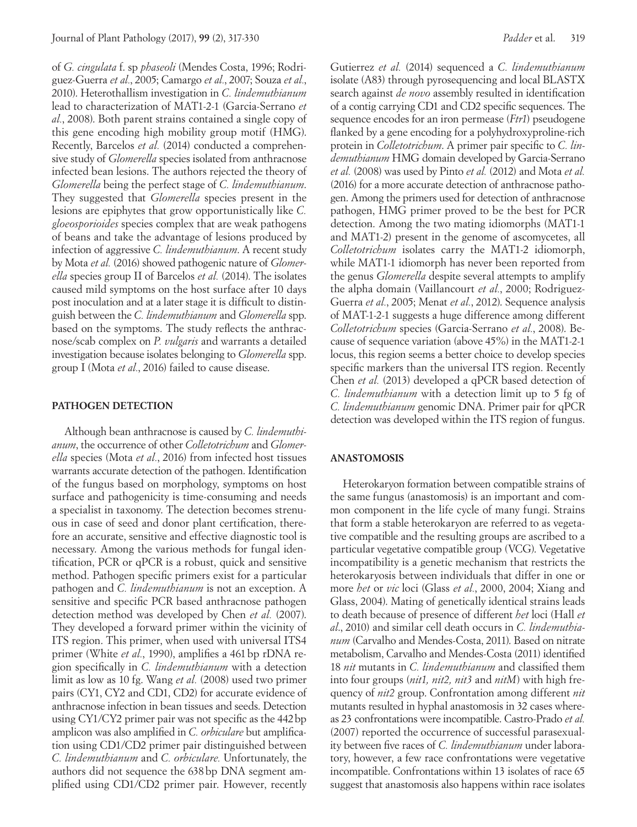of *G. cingulata* f. sp *phaseoli* (Mendes Costa, 1996; Rodriguez-Guerra *et al.*, 2005; Camargo *et al.*, 2007; Souza *et al.*, 2010). Heterothallism investigation in *C. lindemuthianum* lead to characterization of MAT1-2-1 (Garcia-Serrano *et al.*, 2008). Both parent strains contained a single copy of this gene encoding high mobility group motif (HMG). Recently, Barcelos *et al.* (2014) conducted a comprehensive study of *Glomerella* species isolated from anthracnose infected bean lesions. The authors rejected the theory of *Glomerella* being the perfect stage of *C. lindemuthianum*. They suggested that *Glomerella* species present in the lesions are epiphytes that grow opportunistically like *C. gloeosporioides* species complex that are weak pathogens of beans and take the advantage of lesions produced by infection of aggressive *C. lindemuthianum*. A recent study by Mota *et al.* (2016) showed pathogenic nature of *Glomerella* species group II of Barcelos *et al.* (2014). The isolates caused mild symptoms on the host surface after 10 days post inoculation and at a later stage it is difficult to distinguish between the *C. lindemuthianum* and *Glomerella* spp. based on the symptoms. The study reflects the anthracnose/scab complex on *P. vulgaris* and warrants a detailed investigation because isolates belonging to *Glomerella* spp. group I (Mota *et al.*, 2016) failed to cause disease.

#### **PATHOGEN DETECTION**

Although bean anthracnose is caused by *C. lindemuthianum*, the occurrence of other *Colletotrichum* and *Glomerella* species (Mota *et al.*, 2016) from infected host tissues warrants accurate detection of the pathogen. Identification of the fungus based on morphology, symptoms on host surface and pathogenicity is time-consuming and needs a specialist in taxonomy. The detection becomes strenuous in case of seed and donor plant certification, therefore an accurate, sensitive and effective diagnostic tool is necessary. Among the various methods for fungal identification, PCR or qPCR is a robust, quick and sensitive method. Pathogen specific primers exist for a particular pathogen and *C. lindemuthianum* is not an exception. A sensitive and specific PCR based anthracnose pathogen detection method was developed by Chen *et al.* (2007). They developed a forward primer within the vicinity of ITS region. This primer, when used with universal ITS4 primer (White *et al.*, 1990), amplifies a 461bp rDNA region specifically in *C. lindemuthianum* with a detection limit as low as 10 fg. Wang *et al.* (2008) used two primer pairs (CY1, CY2 and CD1, CD2) for accurate evidence of anthracnose infection in bean tissues and seeds. Detection using CY1/CY2 primer pair was not specific as the 442bp amplicon was also amplified in *C. orbiculare* but amplification using CD1/CD2 primer pair distinguished between *C. lindemuthianum* and *C. orbiculare.* Unfortunately, the authors did not sequence the 638bp DNA segment amplified using CD1/CD2 primer pair. However, recently Gutierrez *et al.* (2014) sequenced a *C. lindemuthianum* isolate (A83) through pyrosequencing and local BLASTX search against *de novo* assembly resulted in identification of a contig carrying CD1 and CD2 specific sequences. The sequence encodes for an iron permease (*Ftr1*) pseudogene flanked by a gene encoding for a polyhydroxyproline-rich protein in *Colletotrichum*. A primer pair specific to *C. lindemuthianum* HMG domain developed by Garcia-Serrano *et al.* (2008) was used by Pinto *et al.* (2012) and Mota *et al.* (2016) for a more accurate detection of anthracnose pathogen. Among the primers used for detection of anthracnose pathogen, HMG primer proved to be the best for PCR detection. Among the two mating idiomorphs (MAT1-1 and MAT1-2) present in the genome of ascomycetes, all *Colletotrichum* isolates carry the MAT1-2 idiomorph, while MAT1-1 idiomorph has never been reported from the genus *Glomerella* despite several attempts to amplify the alpha domain (Vaillancourt *et al.*, 2000; Rodriguez-Guerra *et al.*, 2005; Menat *et al.*, 2012). Sequence analysis of MAT-1-2-1 suggests a huge difference among different *Colletotrichum* species (Garcia-Serrano *et al.*, 2008). Because of sequence variation (above 45%) in the MAT1-2-1 locus, this region seems a better choice to develop species specific markers than the universal ITS region. Recently Chen *et al.* (2013) developed a qPCR based detection of *C. lindemuthianum* with a detection limit up to 5 fg of *C. lindemuthianum* genomic DNA. Primer pair for qPCR detection was developed within the ITS region of fungus.

## **ANASTOMOSIS**

Heterokaryon formation between compatible strains of the same fungus (anastomosis) is an important and common component in the life cycle of many fungi. Strains that form a stable heterokaryon are referred to as vegetative compatible and the resulting groups are ascribed to a particular vegetative compatible group (VCG). Vegetative incompatibility is a genetic mechanism that restricts the heterokaryosis between individuals that differ in one or more *het* or *vic* loci (Glass *et al.*, 2000, 2004; Xiang and Glass, 2004). Mating of genetically identical strains leads to death because of presence of different *het* loci (Hall *et al*., 2010) and similar cell death occurs in *C. lindemuthianum* (Carvalho and Mendes-Costa, 2011). Based on nitrate metabolism, Carvalho and Mendes-Costa (2011) identified 18 *nit* mutants in *C. lindemuthianum* and classified them into four groups (*nit1, nit2, nit3* and *nitM*) with high frequency of *nit2* group. Confrontation among different *nit* mutants resulted in hyphal anastomosis in 32 cases whereas 23 confrontations were incompatible. Castro-Prado *et al.* (2007) reported the occurrence of successful parasexuality between five races of *C. lindemuthianum* under laboratory, however, a few race confrontations were vegetative incompatible. Confrontations within 13 isolates of race 65 suggest that anastomosis also happens within race isolates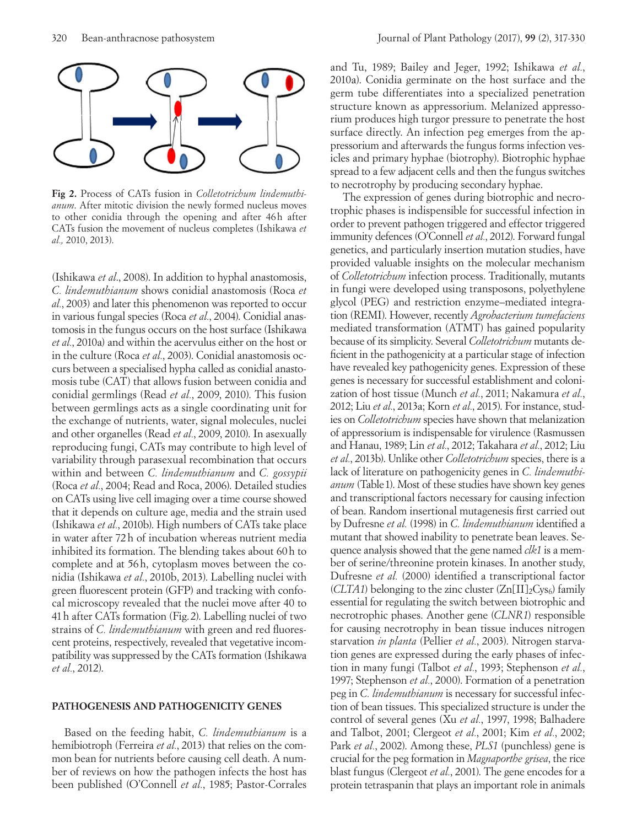

**Fig 2.** Process of CATs fusion in *Colletotrichum lindemuthianum*. After mitotic division the newly formed nucleus moves to other conidia through the opening and after 46h after CATs fusion the movement of nucleus completes (Ishikawa *et al.,* 2010, 2013).

(Ishikawa *et al*., 2008). In addition to hyphal anastomosis, *C. lindemuthianum* shows conidial anastomosis (Roca *et al.*, 2003) and later this phenomenon was reported to occur in various fungal species (Roca *et al.*, 2004). Conidial anastomosis in the fungus occurs on the host surface (Ishikawa *et al.*, 2010a) and within the acervulus either on the host or in the culture (Roca *et al.*, 2003). Conidial anastomosis occurs between a specialised hypha called as conidial anastomosis tube (CAT) that allows fusion between conidia and conidial germlings (Read *et al.*, 2009, 2010). This fusion between germlings acts as a single coordinating unit for the exchange of nutrients, water, signal molecules, nuclei and other organelles (Read *et al.*, 2009, 2010). In asexually reproducing fungi, CATs may contribute to high level of variability through parasexual recombination that occurs within and between *C. lindemuthianum* and *C. gossypii* (Roca *et al.*, 2004; Read and Roca, 2006). Detailed studies on CATs using live cell imaging over a time course showed that it depends on culture age, media and the strain used (Ishikawa *et al.*, 2010b). High numbers of CATs take place in water after 72h of incubation whereas nutrient media inhibited its formation. The blending takes about 60h to complete and at 56h, cytoplasm moves between the conidia (Ishikawa *et al.*, 2010b, 2013). Labelling nuclei with green fluorescent protein (GFP) and tracking with confocal microscopy revealed that the nuclei move after 40 to 41h after CATs formation (Fig.2). Labelling nuclei of two strains of *C. lindemuthianum* with green and red fluorescent proteins, respectively, revealed that vegetative incompatibility was suppressed by the CATs formation (Ishikawa *et al.*, 2012).

## **PATHOGENESIS AND PATHOGENICITY GENES**

Based on the feeding habit, *C. lindemuthianum* is a hemibiotroph (Ferreira *et al.*, 2013) that relies on the common bean for nutrients before causing cell death. A number of reviews on how the pathogen infects the host has been published (O'Connell *et al.*, 1985; Pastor-Corrales

and Tu, 1989; Bailey and Jeger, 1992; Ishikawa *et al.*, 2010a). Conidia germinate on the host surface and the germ tube differentiates into a specialized penetration structure known as appressorium. Melanized appressorium produces high turgor pressure to penetrate the host surface directly. An infection peg emerges from the appressorium and afterwards the fungus forms infection vesicles and primary hyphae (biotrophy). Biotrophic hyphae spread to a few adjacent cells and then the fungus switches to necrotrophy by producing secondary hyphae.

The expression of genes during biotrophic and necrotrophic phases is indispensible for successful infection in order to prevent pathogen triggered and effector triggered immunity defences (O'Connell *et al.*, 2012). Forward fungal genetics, and particularly insertion mutation studies, have provided valuable insights on the molecular mechanism of *Colletotrichum* infection process. Traditionally, mutants in fungi were developed using transposons, polyethylene glycol (PEG) and restriction enzyme–mediated integration (REMI). However, recently *Agrobacterium tumefaciens* mediated transformation (ATMT) has gained popularity because of its simplicity. Several *Colletotrichum* mutants deficient in the pathogenicity at a particular stage of infection have revealed key pathogenicity genes. Expression of these genes is necessary for successful establishment and colonization of host tissue (Munch *et al.*, 2011; Nakamura *et al.*, 2012; Liu *et al.*, 2013a; Korn *et al.*, 2015). For instance, studies on *Colletotrichum* species have shown that melanization of appressorium is indispensable for virulence (Rasmussen and Hanau, 1989; Lin *et al.*, 2012; Takahara *et al.*, 2012; Liu *et al.*, 2013b). Unlike other *Colletotrichum* species, there is a lack of literature on pathogenicity genes in *C. lindemuthianum* (Table1). Most of these studies have shown key genes and transcriptional factors necessary for causing infection of bean. Random insertional mutagenesis first carried out by Dufresne *et al.* (1998) in *C. lindemuthianum* identified a mutant that showed inability to penetrate bean leaves. Sequence analysis showed that the gene named *clk1* is a member of serine/threonine protein kinases. In another study, Dufresne *et al.* (2000) identified a transcriptional factor  $(CLTA1)$  belonging to the zinc cluster  $(Zn[II]_2Cys_6)$  family essential for regulating the switch between biotrophic and necrotrophic phases. Another gene (*CLNR1*) responsible for causing necrotrophy in bean tissue induces nitrogen starvation *in planta* (Pellier *et al.*, 2003). Nitrogen starvation genes are expressed during the early phases of infection in many fungi (Talbot *et al.*, 1993; Stephenson *et al.*, 1997; Stephenson *et al.*, 2000). Formation of a penetration peg in *C. lindemuthianum* is necessary for successful infection of bean tissues. This specialized structure is under the control of several genes (Xu *et al.*, 1997, 1998; Balhadere and Talbot, 2001; Clergeot *et al.*, 2001; Kim *et al.*, 2002; Park *et al.*, 2002). Among these, *PLS1* (punchless) gene is crucial for the peg formation in *Magnaporthe grisea*, the rice blast fungus (Clergeot *et al.*, 2001). The gene encodes for a protein tetraspanin that plays an important role in animals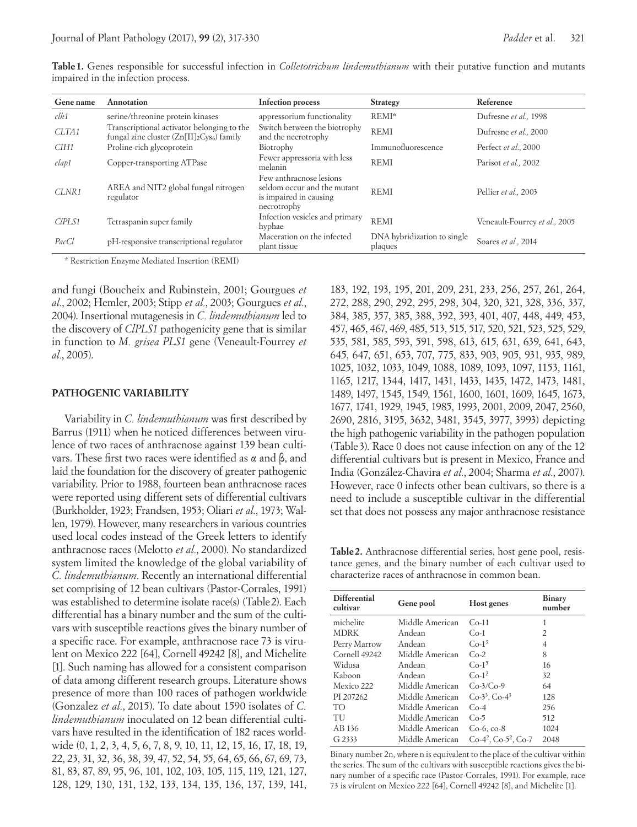| Gene name        | Annotation                                                                                                       | <b>Infection process</b>                                                                        | <b>Strategy</b>                        | Reference                     |
|------------------|------------------------------------------------------------------------------------------------------------------|-------------------------------------------------------------------------------------------------|----------------------------------------|-------------------------------|
| clk1             | serine/threonine protein kinases                                                                                 | appressorium functionality                                                                      | REMI*                                  | Dufresne et al., 1998         |
| CLTA1            | Transcriptional activator belonging to the<br>fungal zinc cluster (Zn[II] <sub>2</sub> Cys <sub>6</sub> ) family | Switch between the biotrophy<br>and the necrotrophy                                             | <b>REMI</b>                            | Dufresne et al., 2000         |
| CIH <sub>1</sub> | Proline-rich glycoprotein                                                                                        | Biotrophy                                                                                       | Immunofluorescence                     | Perfect et al., 2000          |
| clap1            | Copper-transporting ATPase                                                                                       | Fewer appressoria with less<br>melanin                                                          | <b>REMI</b>                            | Parisot et al., 2002          |
| CLNR1            | AREA and NIT2 global fungal nitrogen<br>regulator                                                                | Few anthracnose lesions<br>seldom occur and the mutant<br>is impaired in causing<br>necrotrophy | <b>REMI</b>                            | Pellier et al., 2003          |
| ClPLS1           | Tetraspanin super family                                                                                         | Infection vesicles and primary<br>hyphae                                                        | <b>REMI</b>                            | Veneault-Fourrey et al., 2005 |
| PacCl            | pH-responsive transcriptional regulator                                                                          | Maceration on the infected<br>plant tissue                                                      | DNA hybridization to single<br>plaques | Soares et al., 2014           |

**Table1.** Genes responsible for successful infection in *Colletotrichum lindemuthianum* with their putative function and mutants impaired in the infection process.

\* Restriction Enzyme Mediated Insertion (REMI)

and fungi (Boucheix and Rubinstein, 2001; Gourgues *et al.*, 2002; Hemler, 2003; Stipp *et al.*, 2003; Gourgues *et al.*, 2004). Insertional mutagenesis in *C. lindemuthianum* led to the discovery of *ClPLS1* pathogenicity gene that is similar in function to *M. grisea PLS1* gene (Veneault-Fourrey *et al.*, 2005).

#### **PATHOGENIC VARIABILITY**

Variability in *C. lindemuthianum* was first described by Barrus (1911) when he noticed differences between virulence of two races of anthracnose against 139 bean cultivars. These first two races were identified as α and β, and laid the foundation for the discovery of greater pathogenic variability. Prior to 1988, fourteen bean anthracnose races were reported using different sets of differential cultivars (Burkholder, 1923; Frandsen, 1953; Oliari *et al.*, 1973; Wallen, 1979). However, many researchers in various countries used local codes instead of the Greek letters to identify anthracnose races (Melotto *et al.*, 2000). No standardized system limited the knowledge of the global variability of *C. lindemuthianum*. Recently an international differential set comprising of 12 bean cultivars (Pastor-Corrales, 1991) was established to determine isolate race(s) (Table2). Each differential has a binary number and the sum of the cultivars with susceptible reactions gives the binary number of a specific race. For example, anthracnose race 73 is virulent on Mexico 222 [64], Cornell 49242 [8], and Michelite [1]. Such naming has allowed for a consistent comparison of data among different research groups. Literature shows presence of more than 100 races of pathogen worldwide (Gonzalez *et al.*, 2015). To date about 1590 isolates of *C. lindemuthianum* inoculated on 12 bean differential cultivars have resulted in the identification of 182 races worldwide (0, 1, 2, 3, 4, 5, 6, 7, 8, 9, 10, 11, 12, 15, 16, 17, 18, 19, 22, 23, 31, 32, 36, 38, 39, 47, 52, 54, 55, 64, 65, 66, 67, 69, 73, 81, 83, 87, 89, 95, 96, 101, 102, 103, 105, 115, 119, 121, 127, 128, 129, 130, 131, 132, 133, 134, 135, 136, 137, 139, 141,

183, 192, 193, 195, 201, 209, 231, 233, 256, 257, 261, 264, 272, 288, 290, 292, 295, 298, 304, 320, 321, 328, 336, 337, 384, 385, 357, 385, 388, 392, 393, 401, 407, 448, 449, 453, 457, 465, 467, 469, 485, 513, 515, 517, 520, 521, 523, 525, 529, 535, 581, 585, 593, 591, 598, 613, 615, 631, 639, 641, 643, 645, 647, 651, 653, 707, 775, 833, 903, 905, 931, 935, 989, 1025, 1032, 1033, 1049, 1088, 1089, 1093, 1097, 1153, 1161, 1165, 1217, 1344, 1417, 1431, 1433, 1435, 1472, 1473, 1481, 1489, 1497, 1545, 1549, 1561, 1600, 1601, 1609, 1645, 1673, 1677, 1741, 1929, 1945, 1985, 1993, 2001, 2009, 2047, 2560, 2690, 2816, 3195, 3632, 3481, 3545, 3977, 3993) depicting the high pathogenic variability in the pathogen population (Table3). Race 0 does not cause infection on any of the 12 differential cultivars but is present in Mexico, France and India (González-Chavira *et al.*, 2004; Sharma *et al.*, 2007). However, race 0 infects other bean cultivars, so there is a need to include a susceptible cultivar in the differential set that does not possess any major anthracnose resistance

**Table2.** Anthracnose differential series, host gene pool, resistance genes, and the binary number of each cultivar used to characterize races of anthracnose in common bean.

| Differential<br>cultivar | Gene pool       | Host genes                   | <b>Binary</b><br>number |
|--------------------------|-----------------|------------------------------|-------------------------|
| michelite                | Middle American | $Co-11$                      | 1                       |
| <b>MDRK</b>              | Andean          | $Co-1$                       | $\mathfrak{D}$          |
| Perry Marrow             | Andean          | $Co-13$                      | 4                       |
| Cornell 49242            | Middle American | $Co-2$                       | 8                       |
| Widusa                   | Andean          | $Co-15$                      | 16                      |
| Kaboon                   | Andean          | $Co-12$                      | 32                      |
| Mexico 222               | Middle American | $Co-3/Co-9$                  | 64                      |
| PI 207262                | Middle American | $Co-3^3$ , $Co-4^3$          | 128                     |
| <b>TO</b>                | Middle American | $Co-4$                       | 256                     |
| TU                       | Middle American | $Co-5$                       | 512                     |
| AB 136                   | Middle American | $Co-6$ , $co-8$              | 1024                    |
| G 2333                   | Middle American | $Co-4^2$ , $Co-5^2$ , $Co-7$ | 2048                    |

Binary number 2n, where n is equivalent to the place of the cultivar within the series. The sum of the cultivars with susceptible reactions gives the binary number of a specific race (Pastor-Corrales, 1991). For example, race 73 is virulent on Mexico 222 [64], Cornell 49242 [8], and Michelite [1].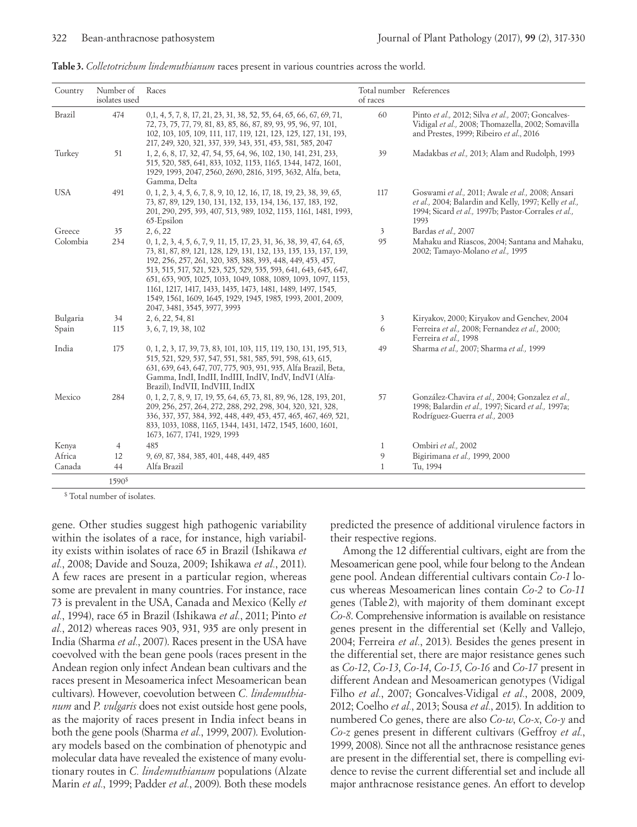| Country    | Number of<br>isolates used | Races                                                                                                                                                                                                                                                                                                                                                                                                                                                                                                          | Total number References<br>of races |                                                                                                                                                                          |
|------------|----------------------------|----------------------------------------------------------------------------------------------------------------------------------------------------------------------------------------------------------------------------------------------------------------------------------------------------------------------------------------------------------------------------------------------------------------------------------------------------------------------------------------------------------------|-------------------------------------|--------------------------------------------------------------------------------------------------------------------------------------------------------------------------|
| Brazil     | 474                        | 0,1, 4, 5, 7, 8, 17, 21, 23, 31, 38, 52, 55, 64, 65, 66, 67, 69, 71,<br>72, 73, 75, 77, 79, 81, 83, 85, 86, 87, 89, 93, 95, 96, 97, 101,<br>102, 103, 105, 109, 111, 117, 119, 121, 123, 125, 127, 131, 193,<br>217, 249, 320, 321, 337, 339, 343, 351, 453, 581, 585, 2047                                                                                                                                                                                                                                    | 60                                  | Pinto et al., 2012; Silva et al., 2007; Goncalves-<br>Vidigal et al., 2008; Thomazella, 2002; Somavilla<br>and Prestes, 1999; Ribeiro et al., 2016                       |
| Turkey     | 51                         | 1, 2, 6, 8, 17, 32, 47, 54, 55, 64, 96, 102, 130, 141, 231, 233,<br>515, 520, 585, 641, 833, 1032, 1153, 1165, 1344, 1472, 1601,<br>1929, 1993, 2047, 2560, 2690, 2816, 3195, 3632, Alfa, beta,<br>Gamma, Delta                                                                                                                                                                                                                                                                                                | 39                                  | Madakbas et al., 2013; Alam and Rudolph, 1993                                                                                                                            |
| <b>USA</b> | 491                        | 0, 1, 2, 3, 4, 5, 6, 7, 8, 9, 10, 12, 16, 17, 18, 19, 23, 38, 39, 65,<br>73, 87, 89, 129, 130, 131, 132, 133, 134, 136, 137, 183, 192,<br>201, 290, 295, 393, 407, 513, 989, 1032, 1153, 1161, 1481, 1993,<br>65-Epsilon                                                                                                                                                                                                                                                                                       | 117                                 | Goswami et al., 2011; Awale et al., 2008; Ansari<br>et al., 2004; Balardin and Kelly, 1997; Kelly et al.,<br>1994; Sicard et al., 1997b; Pastor-Corrales et al.,<br>1993 |
| Greece     | 35                         | 2, 6, 22                                                                                                                                                                                                                                                                                                                                                                                                                                                                                                       | 3                                   | Bardas et al., 2007                                                                                                                                                      |
| Colombia   | 234                        | 0, 1, 2, 3, 4, 5, 6, 7, 9, 11, 15, 17, 23, 31, 36, 38, 39, 47, 64, 65,<br>73, 81, 87, 89, 121, 128, 129, 131, 132, 133, 135, 133, 137, 139,<br>192, 256, 257, 261, 320, 385, 388, 393, 448, 449, 453, 457,<br>513, 515, 517, 521, 523, 525, 529, 535, 593, 641, 643, 645, 647,<br>651, 653, 905, 1025, 1033, 1049, 1088, 1089, 1093, 1097, 1153,<br>1161, 1217, 1417, 1433, 1435, 1473, 1481, 1489, 1497, 1545,<br>1549, 1561, 1609, 1645, 1929, 1945, 1985, 1993, 2001, 2009,<br>2047, 3481, 3545, 3977, 3993 | 95                                  | Mahaku and Riascos, 2004; Santana and Mahaku,<br>2002; Tamayo-Molano et al., 1995                                                                                        |
| Bulgaria   | 34                         | 2, 6, 22, 54, 81                                                                                                                                                                                                                                                                                                                                                                                                                                                                                               | 3                                   | Kiryakov, 2000; Kiryakov and Genchev, 2004                                                                                                                               |
| Spain      | 115                        | 3, 6, 7, 19, 38, 102                                                                                                                                                                                                                                                                                                                                                                                                                                                                                           | 6                                   | Ferreira et al., 2008; Fernandez et al., 2000;<br>Ferreira et al., 1998                                                                                                  |
| India      | 175                        | 0, 1, 2, 3, 17, 39, 73, 83, 101, 103, 115, 119, 130, 131, 195, 513,<br>515, 521, 529, 537, 547, 551, 581, 585, 591, 598, 613, 615,<br>631, 639, 643, 647, 707, 775, 903, 931, 935, Alfa Brazil, Beta,<br>Gamma, IndI, IndII, IndIII, IndIV, IndV, IndVI (Alfa-<br>Brazil), IndVII, IndVIII, IndIX                                                                                                                                                                                                              | 49                                  | Sharma et al., 2007; Sharma et al., 1999                                                                                                                                 |
| Mexico     | 284                        | 0, 1, 2, 7, 8, 9, 17, 19, 55, 64, 65, 73, 81, 89, 96, 128, 193, 201,<br>209, 256, 257, 264, 272, 288, 292, 298, 304, 320, 321, 328,<br>336, 337, 357, 384, 392, 448, 449, 453, 457, 465, 467, 469, 521,<br>833, 1033, 1088, 1165, 1344, 1431, 1472, 1545, 1600, 1601,<br>1673, 1677, 1741, 1929, 1993                                                                                                                                                                                                          | 57                                  | González-Chavira et al., 2004; Gonzalez et al.,<br>1998; Balardin et al., 1997; Sicard et al., 1997a;<br>Rodríguez-Guerra et al., 2003                                   |
| Kenya      | 4                          | 485                                                                                                                                                                                                                                                                                                                                                                                                                                                                                                            | 1                                   | Ombiri et al., 2002                                                                                                                                                      |
| Africa     | 12                         | 9, 69, 87, 384, 385, 401, 448, 449, 485                                                                                                                                                                                                                                                                                                                                                                                                                                                                        | 9                                   | Bigirimana et al., 1999, 2000                                                                                                                                            |
| Canada     | 44                         | Alfa Brazil                                                                                                                                                                                                                                                                                                                                                                                                                                                                                                    | $\mathbf{1}$                        | Tu, 1994                                                                                                                                                                 |
|            | 1590 <sup>\$</sup>         |                                                                                                                                                                                                                                                                                                                                                                                                                                                                                                                |                                     |                                                                                                                                                                          |

**Table3.** *Colletotrichum lindemuthianum* races present in various countries across the world.

\$ Total number of isolates.

gene. Other studies suggest high pathogenic variability within the isolates of a race, for instance, high variability exists within isolates of race 65 in Brazil (Ishikawa *et al.*, 2008; Davide and Souza, 2009; Ishikawa *et al.*, 2011). A few races are present in a particular region, whereas some are prevalent in many countries. For instance, race 73 is prevalent in the USA, Canada and Mexico (Kelly *et al.*, 1994), race 65 in Brazil (Ishikawa *et al.*, 2011; Pinto *et al.*, 2012) whereas races 903, 931, 935 are only present in India (Sharma *et al.*, 2007). Races present in the USA have coevolved with the bean gene pools (races present in the Andean region only infect Andean bean cultivars and the races present in Mesoamerica infect Mesoamerican bean cultivars). However, coevolution between *C. lindemuthianum* and *P. vulgaris* does not exist outside host gene pools, as the majority of races present in India infect beans in both the gene pools (Sharma *et al.*, 1999, 2007). Evolutionary models based on the combination of phenotypic and molecular data have revealed the existence of many evolutionary routes in *C. lindemuthianum* populations (Alzate Marin *et al.*, 1999; Padder *et al.*, 2009). Both these models predicted the presence of additional virulence factors in their respective regions.

Among the 12 differential cultivars, eight are from the Mesoamerican gene pool, while four belong to the Andean gene pool. Andean differential cultivars contain *Co-1* locus whereas Mesoamerican lines contain *Co-2* to *Co-11* genes (Table 2), with majority of them dominant except *Co-8*. Comprehensive information is available on resistance genes present in the differential set (Kelly and Vallejo, 2004; Ferreira *et al.*, 2013). Besides the genes present in the differential set, there are major resistance genes such as *Co-12*, *Co-13*, *Co-14*, *Co-15*, *Co-16* and *Co-17* present in different Andean and Mesoamerican genotypes (Vidigal Filho *et al.*, 2007; Goncalves-Vidigal *et al.*, 2008, 2009, 2012; Coelho *et al.*, 2013; Sousa *et al.*, 2015). In addition to numbered Co genes, there are also *Co-w*, *Co-x*, *Co-y* and *Co-z* genes present in different cultivars (Geffroy *et al.*, 1999, 2008). Since not all the anthracnose resistance genes are present in the differential set, there is compelling evidence to revise the current differential set and include all major anthracnose resistance genes. An effort to develop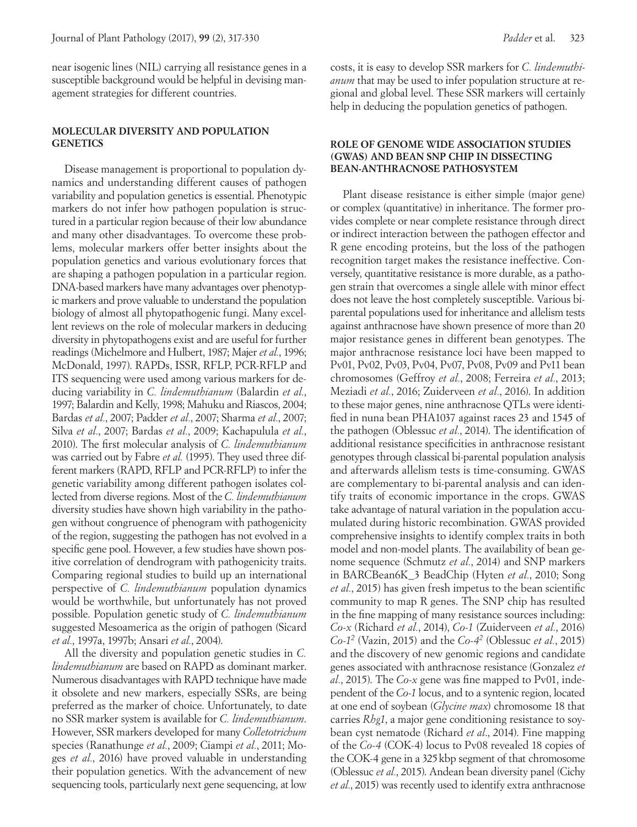near isogenic lines (NIL) carrying all resistance genes in a susceptible background would be helpful in devising management strategies for different countries.

## **MOLECULAR DIVERSITY AND POPULATION GENETICS**

Disease management is proportional to population dynamics and understanding different causes of pathogen variability and population genetics is essential. Phenotypic markers do not infer how pathogen population is structured in a particular region because of their low abundance and many other disadvantages. To overcome these problems, molecular markers offer better insights about the population genetics and various evolutionary forces that are shaping a pathogen population in a particular region. DNA-based markers have many advantages over phenotypic markers and prove valuable to understand the population biology of almost all phytopathogenic fungi. Many excellent reviews on the role of molecular markers in deducing diversity in phytopathogens exist and are useful for further readings (Michelmore and Hulbert, 1987; Majer *et al.*, 1996; McDonald, 1997). RAPDs, ISSR, RFLP, PCR-RFLP and ITS sequencing were used among various markers for deducing variability in *C. lindemuthianum* (Balardin *et al.*, 1997; Balardin and Kelly, 1998; Mahuku and Riascos, 2004; Bardas *et al.*, 2007; Padder *et al.*, 2007; Sharma *et al.*, 2007; Silva *et al.*, 2007; Bardas *et al.*, 2009; Kachapulula *et al.*, 2010). The first molecular analysis of *C. lindemuthianum* was carried out by Fabre *et al.* (1995). They used three different markers (RAPD, RFLP and PCR-RFLP) to infer the genetic variability among different pathogen isolates collected from diverse regions. Most of the *C. lindemuthianum* diversity studies have shown high variability in the pathogen without congruence of phenogram with pathogenicity of the region, suggesting the pathogen has not evolved in a specific gene pool. However, a few studies have shown positive correlation of dendrogram with pathogenicity traits. Comparing regional studies to build up an international perspective of *C. lindemuthianum* population dynamics would be worthwhile, but unfortunately has not proved possible. Population genetic study of *C. lindemuthianum* suggested Mesoamerica as the origin of pathogen (Sicard *et al.*, 1997a, 1997b; Ansari *et al.*, 2004).

All the diversity and population genetic studies in *C. lindemuthianum* are based on RAPD as dominant marker. Numerous disadvantages with RAPD technique have made it obsolete and new markers, especially SSRs, are being preferred as the marker of choice. Unfortunately, to date no SSR marker system is available for *C. lindemuthianum*. However, SSR markers developed for many *Colletotrichum* species (Ranathunge *et al.*, 2009; Ciampi *et al.*, 2011; Moges *et al.*, 2016) have proved valuable in understanding their population genetics. With the advancement of new sequencing tools, particularly next gene sequencing, at low

costs, it is easy to develop SSR markers for *C. lindemuthianum* that may be used to infer population structure at regional and global level. These SSR markers will certainly help in deducing the population genetics of pathogen.

## **ROLE OF GENOME WIDE ASSOCIATION STUDIES (GWAS) AND BEAN SNP CHIP IN DISSECTING BEAN-ANTHRACNOSE PATHOSYSTEM**

Plant disease resistance is either simple (major gene) or complex (quantitative) in inheritance. The former provides complete or near complete resistance through direct or indirect interaction between the pathogen effector and R gene encoding proteins, but the loss of the pathogen recognition target makes the resistance ineffective. Conversely, quantitative resistance is more durable, as a pathogen strain that overcomes a single allele with minor effect does not leave the host completely susceptible. Various biparental populations used for inheritance and allelism tests against anthracnose have shown presence of more than 20 major resistance genes in different bean genotypes. The major anthracnose resistance loci have been mapped to Pv01, Pv02, Pv03, Pv04, Pv07, Pv08, Pv09 and Pv11 bean chromosomes (Geffroy *et al.*, 2008; Ferreira *et al.*, 2013; Meziadi *et al.*, 2016; Zuiderveen *et al.*, 2016). In addition to these major genes, nine anthracnose QTLs were identified in nuna bean PHA1037 against races 23 and 1545 of the pathogen (Oblessuc *et al.*, 2014). The identification of additional resistance specificities in anthracnose resistant genotypes through classical bi-parental population analysis and afterwards allelism tests is time-consuming. GWAS are complementary to bi-parental analysis and can identify traits of economic importance in the crops. GWAS take advantage of natural variation in the population accumulated during historic recombination. GWAS provided comprehensive insights to identify complex traits in both model and non-model plants. The availability of bean genome sequence (Schmutz *et al.*, 2014) and SNP markers in BARCBean6K\_3 BeadChip (Hyten *et al.*, 2010; Song *et al.*, 2015) has given fresh impetus to the bean scientific community to map R genes. The SNP chip has resulted in the fine mapping of many resistance sources including: *Co-x* (Richard *et al.*, 2014), *Co-1* (Zuiderveen *et al.*, 2016) *Co-12* (Vazin, 2015) and the *Co-42* (Oblessuc *et al.*, 2015) and the discovery of new genomic regions and candidate genes associated with anthracnose resistance (Gonzalez *et al.*, 2015). The *Co-x* gene was fine mapped to Pv01, independent of the *Co-1* locus, and to a syntenic region, located at one end of soybean (*Glycine max*) chromosome 18 that carries *Rhg1*, a major gene conditioning resistance to soybean cyst nematode (Richard *et al*., 2014). Fine mapping of the *Co-4* (COK-4) locus to Pv08 revealed 18 copies of the COK-4 gene in a 325kbp segment of that chromosome (Oblessuc *et al.*, 2015). Andean bean diversity panel (Cichy *et al.*, 2015) was recently used to identify extra anthracnose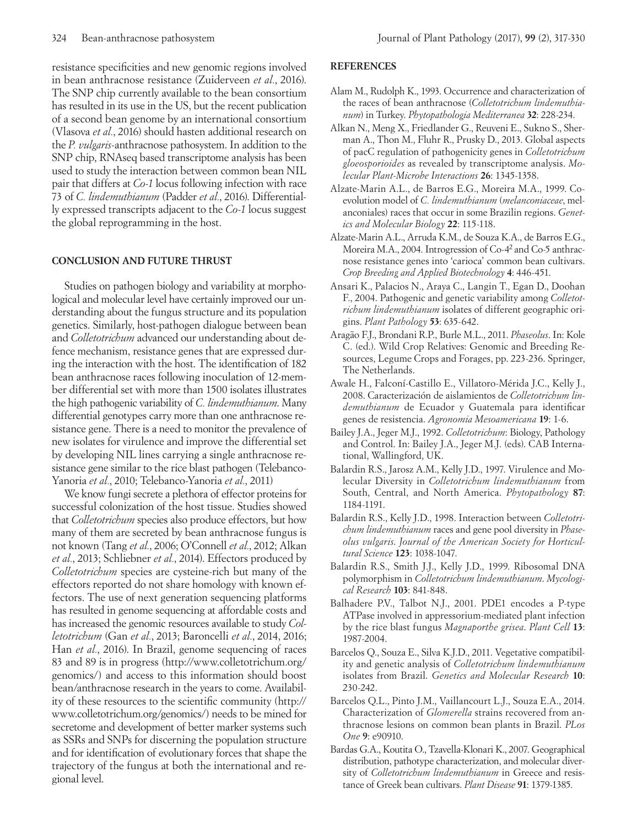resistance specificities and new genomic regions involved in bean anthracnose resistance (Zuiderveen *et al.*, 2016). The SNP chip currently available to the bean consortium has resulted in its use in the US, but the recent publication of a second bean genome by an international consortium (Vlasova *et al.*, 2016) should hasten additional research on the *P. vulgaris*-anthracnose pathosystem. In addition to the SNP chip, RNAseq based transcriptome analysis has been used to study the interaction between common bean NIL pair that differs at *Co-1* locus following infection with race 73 of *C. lindemuthianum* (Padder *et al.*, 2016). Differentially expressed transcripts adjacent to the *Co-1* locus suggest the global reprogramming in the host.

#### **CONCLUSION AND FUTURE THRUST**

Studies on pathogen biology and variability at morphological and molecular level have certainly improved our understanding about the fungus structure and its population genetics. Similarly, host-pathogen dialogue between bean and *Colletotrichum* advanced our understanding about defence mechanism, resistance genes that are expressed during the interaction with the host. The identification of 182 bean anthracnose races following inoculation of 12-member differential set with more than 1500 isolates illustrates the high pathogenic variability of *C. lindemuthianum*. Many differential genotypes carry more than one anthracnose resistance gene. There is a need to monitor the prevalence of new isolates for virulence and improve the differential set by developing NIL lines carrying a single anthracnose resistance gene similar to the rice blast pathogen (Telebanco-Yanoria *et al.*, 2010; Telebanco-Yanoria *et al.*, 2011)

We know fungi secrete a plethora of effector proteins for successful colonization of the host tissue. Studies showed that *Colletotrichum* species also produce effectors, but how many of them are secreted by bean anthracnose fungus is not known (Tang *et al.*, 2006; O'Connell *et al.*, 2012; Alkan *et al.*, 2013; Schliebner *et al.*, 2014). Effectors produced by *Colletotrichum* species are cysteine-rich but many of the effectors reported do not share homology with known effectors. The use of next generation sequencing platforms has resulted in genome sequencing at affordable costs and has increased the genomic resources available to study *Colletotrichum* (Gan *et al.*, 2013; Baroncelli *et al.*, 2014, 2016; Han *et al.*, 2016). In Brazil, genome sequencing of races 83 and 89 is in progress (http://www.colletotrichum.org/ genomics/) and access to this information should boost bean/anthracnose research in the years to come. Availability of these resources to the scientific community (http:// www.colletotrichum.org/genomics/) needs to be mined for secretome and development of better marker systems such as SSRs and SNPs for discerning the population structure and for identification of evolutionary forces that shape the trajectory of the fungus at both the international and regional level.

#### **REFERENCES**

- Alam M., Rudolph K., 1993. Occurrence and characterization of the races of bean anthracnose (*Colletotrichum lindemuthianum*) in Turkey. *Phytopathologia Mediterranea* **32**: 228-234.
- Alkan N., Meng X., Friedlander G., Reuveni E., Sukno S., Sherman A., Thon M., Fluhr R., Prusky D., 2013. Global aspects of pacC regulation of pathogenicity genes in *Colletotrichum gloeosporioides* as revealed by transcriptome analysis. *Molecular Plant-Microbe Interactions* **26**: 1345-1358.
- Alzate-Marin A.L., de Barros E.G., Moreira M.A., 1999. Coevolution model of *C. lindemuthianum* (*melanconiaceae*, melanconiales) races that occur in some Brazilin regions. *Genetics and Molecular Biology* **22**: 115-118.
- Alzate-Marin A.L., Arruda K.M., de Souza K.A., de Barros E.G., Moreira M.A., 2004. Introgression of Co-42 and Co-5 anthracnose resistance genes into 'carioca' common bean cultivars. *Crop Breeding and Applied Biotechnology* **4**: 446-451.
- Ansari K., Palacios N., Araya C., Langin T., Egan D., Doohan F., 2004. Pathogenic and genetic variability among *Colletotrichum lindemuthianum* isolates of different geographic origins. *Plant Pathology* **53**: 635-642.
- Aragão F.J., Brondani R.P., Burle M.L., 2011. *Phaseolus*. In: Kole C. (ed.). Wild Crop Relatives: Genomic and Breeding Resources, Legume Crops and Forages, pp. 223-236. Springer, The Netherlands.
- Awale H., Falconí-Castillo E., Villatoro-Mérida J.C., Kelly J., 2008. Caracterización de aislamientos de *Colletotrichum lindemuthianum* de Ecuador y Guatemala para identificar genes de resistencia. *Agronomia Mesoamericana* **19**: 1-6.
- Bailey J.A., Jeger M.J., 1992. *Colletotrichum*: Biology, Pathology and Control. In: Bailey J.A., Jeger M.J. (eds). CAB International, Wallingford, UK.
- Balardin R.S., Jarosz A.M., Kelly J.D., 1997. Virulence and Molecular Diversity in *Colletotrichum lindemuthianum* from South, Central, and North America. *Phytopathology* **87**: 1184-1191.
- Balardin R.S., Kelly J.D., 1998. Interaction between *Colletotrichum lindemuthianum* races and gene pool diversity in *Phaseolus vulgaris*. *Journal of the American Society for Horticultural Science* **123**: 1038-1047.
- Balardin R.S., Smith J.J., Kelly J.D., 1999. Ribosomal DNA polymorphism in *Colletotrichum lindemuthianum*. *Mycological Research* **103**: 841-848.
- Balhadere P.V., Talbot N.J., 2001. PDE1 encodes a P-type ATPase involved in appressorium-mediated plant infection by the rice blast fungus *Magnaporthe grisea*. *Plant Cell* **13**: 1987-2004.
- Barcelos Q., Souza E., Silva K.J.D., 2011. Vegetative compatibility and genetic analysis of *Colletotrichum lindemuthianum* isolates from Brazil. *Genetics and Molecular Research* **10**: 230-242.
- Barcelos Q.L., Pinto J.M., Vaillancourt L.J., Souza E.A., 2014. Characterization of *Glomerella* strains recovered from anthracnose lesions on common bean plants in Brazil. *PLos One* **9**: e90910.
- Bardas G.A., Koutita O., Tzavella-Klonari K., 2007. Geographical distribution, pathotype characterization, and molecular diversity of *Colletotrichum lindemuthianum* in Greece and resistance of Greek bean cultivars. *Plant Disease* **91**: 1379-1385.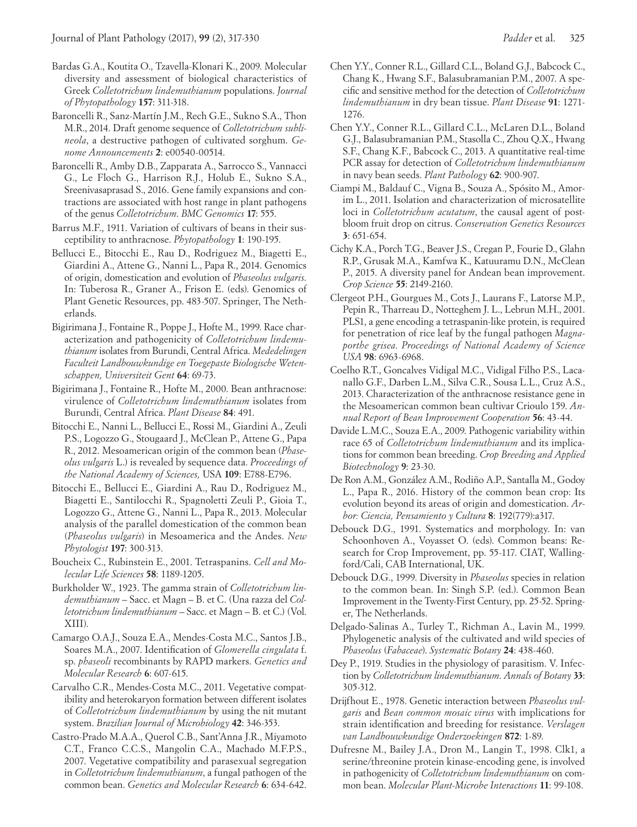- Bardas G.A., Koutita O., Tzavella-Klonari K., 2009. Molecular diversity and assessment of biological characteristics of Greek *Colletotrichum lindemuthianum* populations. *Journal of Phytopathology* **157**: 311-318.
- Baroncelli R., Sanz-Martín J.M., Rech G.E., Sukno S.A., Thon M.R., 2014. Draft genome sequence of *Colletotrichum sublineola*, a destructive pathogen of cultivated sorghum. *Genome Announcements* **2**: e00540-00514.
- Baroncelli R., Amby D.B., Zapparata A., Sarrocco S., Vannacci G., Le Floch G., Harrison R.J., Holub E., Sukno S.A., Sreenivasaprasad S., 2016. Gene family expansions and contractions are associated with host range in plant pathogens of the genus *Colletotrichum*. *BMC Genomics* **17**: 555.
- Barrus M.F., 1911. Variation of cultivars of beans in their susceptibility to anthracnose. *Phytopathology* **1**: 190-195.
- Bellucci E., Bitocchi E., Rau D., Rodriguez M., Biagetti E., Giardini A., Attene G., Nanni L., Papa R., 2014. Genomics of origin, domestication and evolution of *Phaseolus vulgaris*. In: Tuberosa R., Graner A., Frison E. (eds). Genomics of Plant Genetic Resources, pp. 483-507. Springer, The Netherlands.
- Bigirimana J., Fontaine R., Poppe J., Hofte M., 1999. Race characterization and pathogenicity of *Colletotrichum lindemuthianum* isolates from Burundi, Central Africa. *Mededelingen Faculteit Landbouwkundige en Toegepaste Biologische Wetenschappen, Universiteit Gent* **64**: 69-73.
- Bigirimana J., Fontaine R., Hofte M., 2000. Bean anthracnose: virulence of *Colletotrichum lindemuthianum* isolates from Burundi, Central Africa. *Plant Disease* **84**: 491.
- Bitocchi E., Nanni L., Bellucci E., Rossi M., Giardini A., Zeuli P.S., Logozzo G., Stougaard J., McClean P., Attene G., Papa R., 2012. Mesoamerican origin of the common bean (*Phaseolus vulgaris* L.) is revealed by sequence data. *Proceedings of the National Academy of Sciences,* USA **109**: E788-E796.
- Bitocchi E., Bellucci E., Giardini A., Rau D., Rodriguez M., Biagetti E., Santilocchi R., Spagnoletti Zeuli P., Gioia T., Logozzo G., Attene G., Nanni L., Papa R., 2013. Molecular analysis of the parallel domestication of the common bean (*Phaseolus vulgaris*) in Mesoamerica and the Andes. *New Phytologist* **197**: 300-313.
- Boucheix C., Rubinstein E., 2001. Tetraspanins. *Cell and Molecular Life Sciences* **58**: 1189-1205.
- Burkholder W., 1923. The gamma strain of *Colletotrichum lindemuthianum* – Sacc. et Magn – B. et C. (Una razza del *Colletotrichum lindemuthianum* – Sacc. et Magn – B. et C.) (Vol. XIII).
- Camargo O.A.J., Souza E.A., Mendes-Costa M.C., Santos J.B., Soares M.A., 2007. Identification of *Glomerella cingulata* f. sp. *phaseoli* recombinants by RAPD markers. *Genetics and Molecular Research* **6**: 607-615.
- Carvalho C.R., Mendes-Costa M.C., 2011. Vegetative compatibility and heterokaryon formation between different isolates of *Colletotrichum lindemuthianum* by using the nit mutant system. *Brazilian Journal of Microbiology* **42**: 346-353.
- Castro-Prado M.A.A., Querol C.B., Sant'Anna J.R., Miyamoto C.T., Franco C.C.S., Mangolin C.A., Machado M.F.P.S., 2007. Vegetative compatibility and parasexual segregation in *Colletotrichum lindemuthianum*, a fungal pathogen of the common bean. *Genetics and Molecular Research* **6**: 634-642.
- Chen Y.Y., Conner R.L., Gillard C.L., Boland G.J., Babcock C., Chang K., Hwang S.F., Balasubramanian P.M., 2007. A specific and sensitive method for the detection of *Colletotrichum lindemuthianum* in dry bean tissue. *Plant Disease* **91**: 1271- 1276.
- Chen Y.Y., Conner R.L., Gillard C.L., McLaren D.L., Boland G.J., Balasubramanian P.M., Stasolla C., Zhou Q.X., Hwang S.F., Chang K.F., Babcock C., 2013. A quantitative real-time PCR assay for detection of *Colletotrichum lindemuthianum* in navy bean seeds. *Plant Pathology* **62**: 900-907.
- Ciampi M., Baldauf C., Vigna B., Souza A., Spósito M., Amorim L., 2011. Isolation and characterization of microsatellite loci in *Colletotrichum acutatum*, the causal agent of postbloom fruit drop on citrus. *Conservation Genetics Resources* **3**: 651-654.
- Cichy K.A., Porch T.G., Beaver J.S., Cregan P., Fourie D., Glahn R.P., Grusak M.A., Kamfwa K., Katuuramu D.N., McClean P., 2015. A diversity panel for Andean bean improvement. *Crop Science* **55**: 2149-2160.
- Clergeot P.H., Gourgues M., Cots J., Laurans F., Latorse M.P., Pepin R., Tharreau D., Notteghem J. L., Lebrun M.H., 2001. PLS1, a gene encoding a tetraspanin-like protein, is required for penetration of rice leaf by the fungal pathogen *Magnaporthe grisea*. *Proceedings of National Academy of Science USA* **98**: 6963-6968.
- Coelho R.T., Goncalves Vidigal M.C., Vidigal Filho P.S., Lacanallo G.F., Darben L.M., Silva C.R., Sousa L.L., Cruz A.S., 2013. Characterization of the anthracnose resistance gene in the Mesoamerican common bean cultivar Crioulo 159. *Annual Report of Bean Improvement Cooperation* **56**: 43-44.
- Davide L.M.C., Souza E.A., 2009. Pathogenic variability within race 65 of *Colletotrichum lindemuthianum* and its implications for common bean breeding. *Crop Breeding and Applied Biotechnology* **9**: 23-30.
- De Ron A.M., González A.M., Rodiño A.P., Santalla M., Godoy L., Papa R., 2016. History of the common bean crop: Its evolution beyond its areas of origin and domestication. *Arbor: Ciencia, Pensamiento y Cultura* **8**: 192(779):a317.
- Debouck D.G., 1991. Systematics and morphology. In: van Schoonhoven A., Voyasset O. (eds). Common beans: Research for Crop Improvement, pp. 55-117. CIAT, Wallingford/Cali, CAB International, UK.
- Debouck D.G., 1999. Diversity in *Phaseolus* species in relation to the common bean. In: Singh S.P. (ed.). Common Bean Improvement in the Twenty-First Century, pp. 25-52. Springer, The Netherlands.
- Delgado-Salinas A., Turley T., Richman A., Lavin M., 1999. Phylogenetic analysis of the cultivated and wild species of *Phaseolus* (*Fabaceae*). *Systematic Botany* **24**: 438-460.
- Dey P., 1919. Studies in the physiology of parasitism. V. Infection by *Colletotrichum lindemuthianum*. *Annals of Botany* **33**: 305-312.
- Drijfhout E., 1978. Genetic interaction between *Phaseolus vulgaris* and *Bean common mosaic virus* with implications for strain identification and breeding for resistance. *Verslagen van Landbouwkundige Onderzoekingen* **872**: 1-89.
- Dufresne M., Bailey J.A., Dron M., Langin T., 1998. Clk1, a serine/threonine protein kinase-encoding gene, is involved in pathogenicity of *Colletotrichum lindemuthianum* on common bean. *Molecular Plant-Microbe Interactions* **11**: 99-108.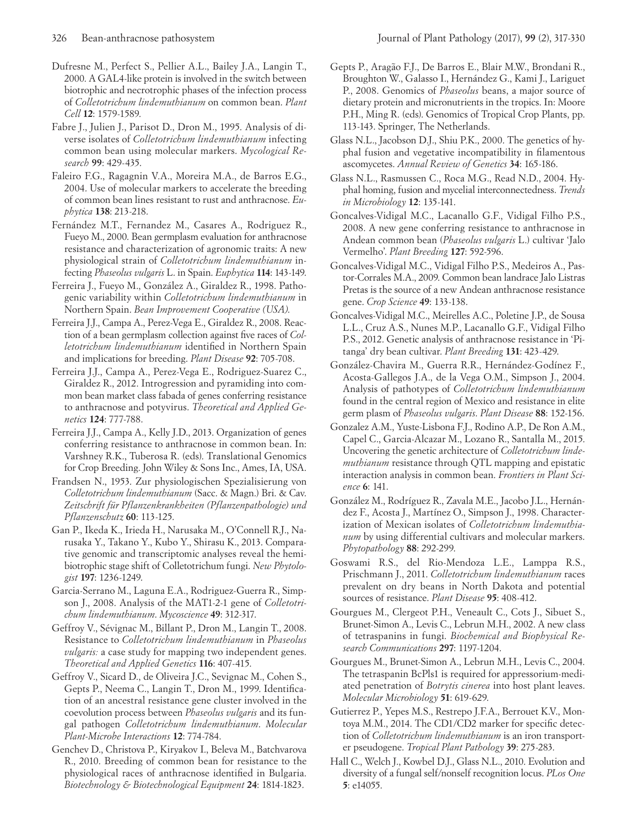- Dufresne M., Perfect S., Pellier A.L., Bailey J.A., Langin T., 2000. A GAL4-like protein is involved in the switch between biotrophic and necrotrophic phases of the infection process of *Colletotrichum lindemuthianum* on common bean. *Plant Cell* **12**: 1579-1589.
- Fabre J., Julien J., Parisot D., Dron M., 1995. Analysis of diverse isolates of *Colletotrichum lindemuthianum* infecting common bean using molecular markers. *Mycological Research* **99**: 429-435.
- Faleiro F.G., Ragagnin V.A., Moreira M.A., de Barros E.G., 2004. Use of molecular markers to accelerate the breeding of common bean lines resistant to rust and anthracnose. *Euphytica* **138**: 213-218.
- Fernández M.T., Fernandez M., Casares A., Rodriguez R., Fueyo M., 2000. Bean germplasm evaluation for anthracnose resistance and characterization of agronomic traits: A new physiological strain of *Colletotrichum lindemuthianum* infecting *Phaseolus vulgaris* L. in Spain. *Euphytica* **114**: 143-149.
- Ferreira J., Fueyo M., González A., Giraldez R., 1998. Pathogenic variability within *Colletotrichum lindemuthianum* in Northern Spain. *Bean Improvement Cooperative (USA)*.
- Ferreira J.J., Campa A., Perez-Vega E., Giraldez R., 2008. Reaction of a bean germplasm collection against five races of *Colletotrichum lindemuthianum* identified in Northern Spain and implications for breeding. *Plant Disease* **92**: 705-708.
- Ferreira J.J., Campa A., Perez-Vega E., Rodriguez-Suarez C., Giraldez R., 2012. Introgression and pyramiding into common bean market class fabada of genes conferring resistance to anthracnose and potyvirus. *Theoretical and Applied Genetics* **124**: 777-788.
- Ferreira J.J., Campa A., Kelly J.D., 2013. Organization of genes conferring resistance to anthracnose in common bean. In: Varshney R.K., Tuberosa R. (eds). Translational Genomics for Crop Breeding. John Wiley & Sons Inc., Ames, IA, USA.
- Frandsen N., 1953. Zur physiologischen Spezialisierung von *Colletotrichum lindemuthianum* (Sacc. & Magn.) Bri. & Cav. *Zeitschrift für Pflanzenkrankheiten (Pflanzenpathologie) und Pflanzenschutz* **60**: 113-125.
- Gan P., Ikeda K., Irieda H., Narusaka M., O'Connell R.J., Narusaka Y., Takano Y., Kubo Y., Shirasu K., 2013. Comparative genomic and transcriptomic analyses reveal the hemibiotrophic stage shift of Colletotrichum fungi. *New Phytologist* **197**: 1236-1249.
- Garcia-Serrano M., Laguna E.A., Rodriguez-Guerra R., Simpson J., 2008. Analysis of the MAT1-2-1 gene of *Colletotrichum lindemuthianum*. *Mycoscience* **49**: 312-317.
- Geffroy V., Sévignac M., Billant P., Dron M., Langin T., 2008. Resistance to *Colletotrichum lindemuthianum* in *Phaseolus vulgaris:* a case study for mapping two independent genes. *Theoretical and Applied Genetics* **116**: 407-415.
- Geffroy V., Sicard D., de Oliveira J.C., Sevignac M., Cohen S., Gepts P., Neema C., Langin T., Dron M., 1999. Identification of an ancestral resistance gene cluster involved in the coevolution process between *Phaseolus vulgaris* and its fungal pathogen *Colletotrichum lindemuthianum*. *Molecular Plant-Microbe Interactions* **12**: 774-784.
- Genchev D., Christova P., Kiryakov I., Beleva M., Batchvarova R., 2010. Breeding of common bean for resistance to the physiological races of anthracnose identified in Bulgaria. *Biotechnology & Biotechnological Equipment* **24**: 1814-1823.
- Gepts P., Aragão F.J., De Barros E., Blair M.W., Brondani R., Broughton W., Galasso I., Hernández G., Kami J., Lariguet P., 2008. Genomics of *Phaseolus* beans, a major source of dietary protein and micronutrients in the tropics. In: Moore P.H., Ming R. (eds). Genomics of Tropical Crop Plants, pp. 113-143. Springer, The Netherlands.
- Glass N.L., Jacobson D.J., Shiu P.K., 2000. The genetics of hyphal fusion and vegetative incompatibility in filamentous ascomycetes. *Annual Review of Genetics* **34**: 165-186.
- Glass N.L., Rasmussen C., Roca M.G., Read N.D., 2004. Hyphal homing, fusion and mycelial interconnectedness. *Trends in Microbiology* **12**: 135-141.
- Goncalves-Vidigal M.C., Lacanallo G.F., Vidigal Filho P.S., 2008. A new gene conferring resistance to anthracnose in Andean common bean (*Phaseolus vulgaris* L.) cultivar 'Jalo Vermelho'. *Plant Breeding* **127**: 592-596.
- Goncalves-Vidigal M.C., Vidigal Filho P.S., Medeiros A., Pastor-Corrales M.A., 2009. Common bean landrace Jalo Listras Pretas is the source of a new Andean anthracnose resistance gene. *Crop Science* **49**: 133-138.
- Goncalves-Vidigal M.C., Meirelles A.C., Poletine J.P., de Sousa L.L., Cruz A.S., Nunes M.P., Lacanallo G.F., Vidigal Filho P.S., 2012. Genetic analysis of anthracnose resistance in 'Pitanga' dry bean cultivar. *Plant Breeding* **131**: 423-429.
- González-Chavira M., Guerra R.R., Hernández-Godínez F., Acosta-Gallegos J.A., de la Vega O.M., Simpson J., 2004. Analysis of pathotypes of *Colletotrichum lindemuthianum*  found in the central region of Mexico and resistance in elite germ plasm of *Phaseolus vulgaris*. *Plant Disease* **88**: 152-156.
- Gonzalez A.M., Yuste-Lisbona F.J., Rodino A.P., De Ron A.M., Capel C., Garcia-Alcazar M., Lozano R., Santalla M., 2015. Uncovering the genetic architecture of *Colletotrichum lindemuthianum* resistance through QTL mapping and epistatic interaction analysis in common bean. *Frontiers in Plant Science* **6**: 141.
- González M., Rodríguez R., Zavala M.E., Jacobo J.L., Hernández F., Acosta J., Martínez O., Simpson J., 1998. Characterization of Mexican isolates of *Colletotrichum lindemuthianum* by using differential cultivars and molecular markers. *Phytopathology* **88**: 292-299.
- Goswami R.S., del Rio-Mendoza L.E., Lamppa R.S., Prischmann J., 2011. *Colletotrichum lindemuthianum* races prevalent on dry beans in North Dakota and potential sources of resistance. *Plant Disease* **95**: 408-412.
- Gourgues M., Clergeot P.H., Veneault C., Cots J., Sibuet S., Brunet-Simon A., Levis C., Lebrun M.H., 2002. A new class of tetraspanins in fungi. *Biochemical and Biophysical Research Communications* **297**: 1197-1204.
- Gourgues M., Brunet-Simon A., Lebrun M.H., Levis C., 2004. The tetraspanin BcPls1 is required for appressorium-mediated penetration of *Botrytis cinerea* into host plant leaves. *Molecular Microbiology* **51**: 619-629.
- Gutierrez P., Yepes M.S., Restrepo J.F.A., Berrouet K.V., Montoya M.M., 2014. The CD1/CD2 marker for specific detection of *Colletotrichum lindemuthianum* is an iron transporter pseudogene. *Tropical Plant Pathology* **39**: 275-283.
- Hall C., Welch J., Kowbel D.J., Glass N.L., 2010. Evolution and diversity of a fungal self/nonself recognition locus. *PLos One* **5**: e14055.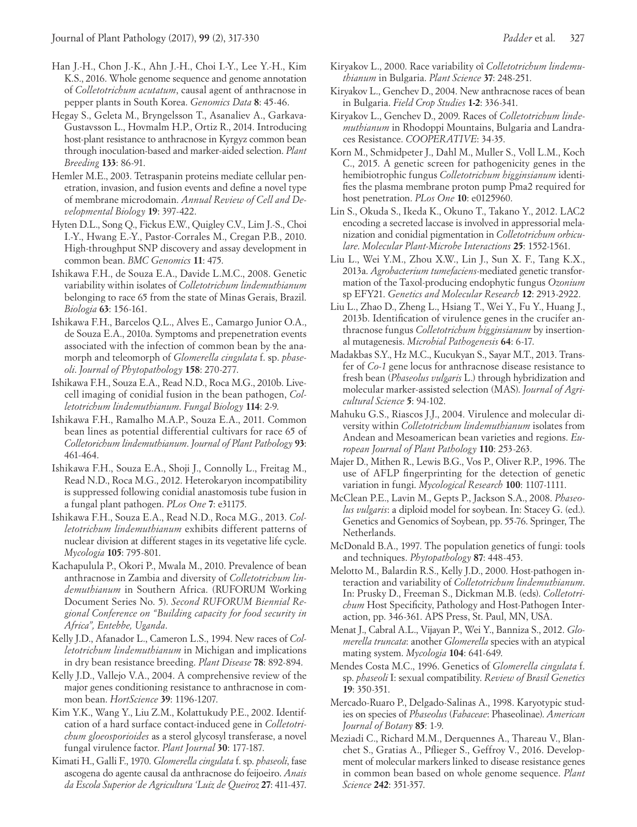- Han J.-H., Chon J.-K., Ahn J.-H., Choi I.-Y., Lee Y.-H., Kim K.S., 2016. Whole genome sequence and genome annotation of *Colletotrichum acutatum*, causal agent of anthracnose in pepper plants in South Korea. *Genomics Data* **8**: 45-46.
- Hegay S., Geleta M., Bryngelsson T., Asanaliev A., Garkava-Gustavsson L., Hovmalm H.P., Ortiz R., 2014. Introducing host-plant resistance to anthracnose in Kyrgyz common bean through inoculation-based and marker-aided selection. *Plant Breeding* **133**: 86-91.
- Hemler M.E., 2003. Tetraspanin proteins mediate cellular penetration, invasion, and fusion events and define a novel type of membrane microdomain. *Annual Review of Cell and Developmental Biology* **19**: 397-422.
- Hyten D.L., Song Q., Fickus E.W., Quigley C.V., Lim J.-S., Choi I.-Y., Hwang E.-Y., Pastor-Corrales M., Cregan P.B., 2010. High-throughput SNP discovery and assay development in common bean. *BMC Genomics* **11**: 475.
- Ishikawa F.H., de Souza E.A., Davide L.M.C., 2008. Genetic variability within isolates of *Colletotrichum lindemuthianum* belonging to race 65 from the state of Minas Gerais, Brazil. *Biologia* **63**: 156-161.
- Ishikawa F.H., Barcelos Q.L., Alves E., Camargo Junior O.A., de Souza E.A., 2010a. Symptoms and prepenetration events associated with the infection of common bean by the anamorph and teleomorph of *Glomerella cingulata* f. sp. *phaseoli*. *Journal of Phytopathology* **158**: 270-277.
- Ishikawa F.H., Souza E.A., Read N.D., Roca M.G., 2010b. Livecell imaging of conidial fusion in the bean pathogen, *Colletotrichum lindemuthianum*. *Fungal Biology* **114**: 2-9.
- Ishikawa F.H., Ramalho M.A.P., Souza E.A., 2011. Common bean lines as potential differential cultivars for race 65 of *Colletorichum lindemuthianum*. *Journal of Plant Pathology* **93**: 461-464.
- Ishikawa F.H., Souza E.A., Shoji J., Connolly L., Freitag M., Read N.D., Roca M.G., 2012. Heterokaryon incompatibility is suppressed following conidial anastomosis tube fusion in a fungal plant pathogen. *PLos One* **7**: e31175.
- Ishikawa F.H., Souza E.A., Read N.D., Roca M.G., 2013. *Colletotrichum lindemuthianum* exhibits different patterns of nuclear division at different stages in its vegetative life cycle. *Mycologia* **105**: 795-801.
- Kachapulula P., Okori P., Mwala M., 2010. Prevalence of bean anthracnose in Zambia and diversity of *Colletotrichum lindemuthianum* in Southern Africa. (RUFORUM Working Document Series No. 5). *Second RUFORUM Biennial Regional Conference on "Building capacity for food security in Africa", Entebbe, Uganda*.
- Kelly J.D., Afanador L., Cameron L.S., 1994. New races of *Colletotrichum lindemuthianum* in Michigan and implications in dry bean resistance breeding. *Plant Disease* **78**: 892-894.
- Kelly J.D., Vallejo V.A., 2004. A comprehensive review of the major genes conditioning resistance to anthracnose in common bean. *HortScience* **39**: 1196-1207.
- Kim Y.K., Wang Y., Liu Z.M., Kolattukudy P.E., 2002. Identifcation of a hard surface contact-induced gene in *Colletotrichum gloeosporioides* as a sterol glycosyl transferase, a novel fungal virulence factor. *Plant Journal* **30**: 177-187.
- Kimati H., Galli F., 1970. *Glomerella cingulata* f. sp. *phaseoli*, fase ascogena do agente causal da anthracnose do feijoeiro. *Anais da Escola Superior de Agricultura 'Luiz de Queiroz* **27**: 411-437.
- Kiryakov L., 2000. Race variability oî *Colletotrichum lindemuthianum* in Bulgaria. *Plant Science* **37**: 248-251.
- Kiryakov L., Genchev D., 2004. New anthracnose races of bean in Bulgaria. *Field Crop Studies* **1-2**: 336-341.
- Kiryakov L., Genchev D., 2009. Races of *Colletotrichum lindemuthianum* in Rhodoppi Mountains, Bulgaria and Landraces Resistance. *COOPERATIVE*: 34-35.
- Korn M., Schmidpeter J., Dahl M., Muller S., Voll L.M., Koch C., 2015. A genetic screen for pathogenicity genes in the hemibiotrophic fungus *Colletotrichum higginsianum* identifies the plasma membrane proton pump Pma2 required for host penetration. *PLos One* **10**: e0125960.
- Lin S., Okuda S., Ikeda K., Okuno T., Takano Y., 2012. LAC2 encoding a secreted laccase is involved in appressorial melanization and conidial pigmentation in *Colletotrichum orbiculare*. *Molecular Plant-Microbe Interactions* **25**: 1552-1561.
- Liu L., Wei Y.M., Zhou X.W., Lin J., Sun X. F., Tang K.X., 2013a. *Agrobacterium tumefaciens*-mediated genetic transformation of the Taxol-producing endophytic fungus *Ozonium* sp EFY21. *Genetics and Molecular Research* **12**: 2913-2922.
- Liu L., Zhao D., Zheng L., Hsiang T., Wei Y., Fu Y., Huang J., 2013b. Identification of virulence genes in the crucifer anthracnose fungus *Colletotrichum higginsianum* by insertional mutagenesis. *Microbial Pathogenesis* **64**: 6-17.
- Madakbas S.Y., Hz M.C., Kucukyan S., Sayar M.T., 2013. Transfer of *Co-1* gene locus for anthracnose disease resistance to fresh bean (*Phaseolus vulgaris* L.) through hybridization and molecular marker-assisted selection (MAS). *Journal of Agricultural Science* **5**: 94-102.
- Mahuku G.S., Riascos J.J., 2004. Virulence and molecular diversity within *Colletotrichum lindemuthianum* isolates from Andean and Mesoamerican bean varieties and regions. *European Journal of Plant Pathology* **110**: 253-263.
- Majer D., Mithen R., Lewis B.G., Vos P., Oliver R.P., 1996. The use of AFLP fingerprinting for the detection of genetic variation in fungi. *Mycological Research* **100**: 1107-1111.
- McClean P.E., Lavin M., Gepts P., Jackson S.A., 2008. *Phaseolus vulgaris*: a diploid model for soybean. In: Stacey G. (ed.). Genetics and Genomics of Soybean, pp. 55-76. Springer, The Netherlands.
- McDonald B.A., 1997. The population genetics of fungi: tools and techniques. *Phytopathology* **87**: 448-453.
- Melotto M., Balardin R.S., Kelly J.D., 2000. Host-pathogen interaction and variability of *Colletotrichum lindemuthianum*. In: Prusky D., Freeman S., Dickman M.B. (eds). *Colletotrichum* Host Specificity, Pathology and Host-Pathogen Interaction, pp. 346-361. APS Press, St. Paul, MN, USA.
- Menat J., Cabral A.L., Vijayan P., Wei Y., Banniza S., 2012. *Glomerella truncata*: another *Glomerella* species with an atypical mating system. *Mycologia* **104**: 641-649.
- Mendes Costa M.C., 1996. Genetics of *Glomerella cingulata* f. sp. *phaseoli* I: sexual compatibility. *Review of Brasil Genetics* **19**: 350-351.
- Mercado-Ruaro P., Delgado-Salinas A., 1998. Karyotypic studies on species of *Phaseolus* (*Fabaceae*: Phaseolinae). *American Journal of Botany* **85**: 1-9.
- Meziadi C., Richard M.M., Derquennes A., Thareau V., Blanchet S., Gratias A., Pflieger S., Geffroy V., 2016. Development of molecular markers linked to disease resistance genes in common bean based on whole genome sequence. *Plant Science* **242**: 351-357.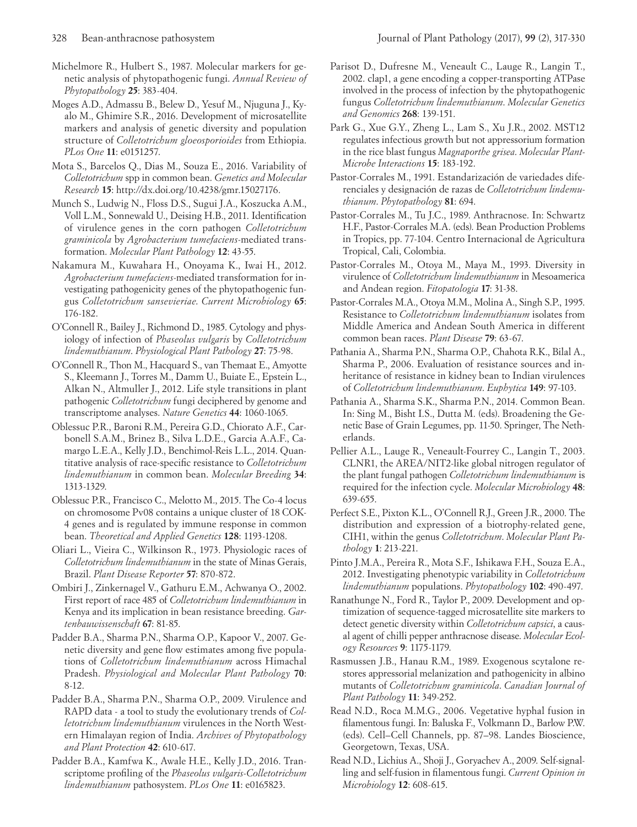- Michelmore R., Hulbert S., 1987. Molecular markers for genetic analysis of phytopathogenic fungi. *Annual Review of Phytopathology* **25**: 383-404.
- Moges A.D., Admassu B., Belew D., Yesuf M., Njuguna J., Kyalo M., Ghimire S.R., 2016. Development of microsatellite markers and analysis of genetic diversity and population structure of *Colletotrichum gloeosporioides* from Ethiopia. *PLos One* **11**: e0151257.
- Mota S., Barcelos Q., Dias M., Souza E., 2016. Variability of *Colletotrichum* spp in common bean. *Genetics and Molecular Research* **15**: http://dx.doi.org/10.4238/gmr.15027176.
- Munch S., Ludwig N., Floss D.S., Sugui J.A., Koszucka A.M., Voll L.M., Sonnewald U., Deising H.B., 2011. Identification of virulence genes in the corn pathogen *Colletotrichum graminicola* by *Agrobacterium tumefaciens*-mediated transformation. *Molecular Plant Pathology* **12**: 43-55.
- Nakamura M., Kuwahara H., Onoyama K., Iwai H., 2012. *Agrobacterium tumefaciens*-mediated transformation for investigating pathogenicity genes of the phytopathogenic fungus *Colletotrichum sansevieriae*. *Current Microbiology* **65**: 176-182.
- O'Connell R., Bailey J., Richmond D., 1985. Cytology and physiology of infection of *Phaseolus vulgaris* by *Colletotrichum lindemuthianum*. *Physiological Plant Pathology* **27**: 75-98.
- O'Connell R., Thon M., Hacquard S., van Themaat E., Amyotte S., Kleemann J., Torres M., Damm U., Buiate E., Epstein L., Alkan N., Altmuller J., 2012. Life style transitions in plant pathogenic *Colletotrichum* fungi deciphered by genome and transcriptome analyses. *Nature Genetics* **44**: 1060-1065.
- Oblessuc P.R., Baroni R.M., Pereira G.D., Chiorato A.F., Carbonell S.A.M., Brinez B., Silva L.D.E., Garcia A.A.F., Camargo L.E.A., Kelly J.D., Benchimol-Reis L.L., 2014. Quantitative analysis of race-specific resistance to *Colletotrichum lindemuthianum* in common bean. *Molecular Breeding* **34**: 1313-1329.
- Oblessuc P.R., Francisco C., Melotto M., 2015. The Co-4 locus on chromosome Pv08 contains a unique cluster of 18 COK-4 genes and is regulated by immune response in common bean. *Theoretical and Applied Genetics* **128**: 1193-1208.
- Oliari L., Vieira C., Wilkinson R., 1973. Physiologic races of *Colletotrichum lindemuthianum* in the state of Minas Gerais, Brazil. *Plant Disease Reporter* **57**: 870-872.
- Ombiri J., Zinkernagel V., Gathuru E.M., Achwanya O., 2002. First report of race 485 of *Colletotrichum lindemuthianum* in Kenya and its implication in bean resistance breeding. *Gartenbauwissenschaft* **67**: 81-85.
- Padder B.A., Sharma P.N., Sharma O.P., Kapoor V., 2007. Genetic diversity and gene flow estimates among five populations of *Colletotrichum lindemuthianum* across Himachal Pradesh. *Physiological and Molecular Plant Pathology* **70**: 8-12.
- Padder B.A., Sharma P.N., Sharma O.P., 2009. Virulence and RAPD data - a tool to study the evolutionary trends of *Colletotrichum lindemuthianum* virulences in the North Western Himalayan region of India. *Archives of Phytopathology and Plant Protection* **42**: 610-617.
- Padder B.A., Kamfwa K., Awale H.E., Kelly J.D., 2016. Transcriptome profiling of the *Phaseolus vulgaris-Colletotrichum lindemuthianum* pathosystem. *PLos One* **11**: e0165823.
- Parisot D., Dufresne M., Veneault C., Lauge R., Langin T., 2002. clap1, a gene encoding a copper-transporting ATPase involved in the process of infection by the phytopathogenic fungus *Colletotrichum lindemuthianum*. *Molecular Genetics and Genomics* **268**: 139-151.
- Park G., Xue G.Y., Zheng L., Lam S., Xu J.R., 2002. MST12 regulates infectious growth but not appressorium formation in the rice blast fungus *Magnaporthe grisea*. *Molecular Plant-Microbe Interactions* **15**: 183-192.
- Pastor-Corrales M., 1991. Estandarización de variedades diferenciales y designación de razas de *Colletotrichum lindemuthianum*. *Phytopathology* **81**: 694.
- Pastor-Corrales M., Tu J.C., 1989. Anthracnose. In: Schwartz H.F., Pastor-Corrales M.A. (eds). Bean Production Problems in Tropics, pp. 77-104. Centro Internacional de Agricultura Tropical, Cali, Colombia.
- Pastor-Corrales M., Otoya M., Maya M., 1993. Diversity in virulence of *Colletotrichum lindemuthianum* in Mesoamerica and Andean region. *Fitopatologia* **17**: 31-38.
- Pastor-Corrales M.A., Otoya M.M., Molina A., Singh S.P., 1995. Resistance to *Colletotrichum lindemuthianum* isolates from Middle America and Andean South America in different common bean races. *Plant Disease* **79**: 63-67.
- Pathania A., Sharma P.N., Sharma O.P., Chahota R.K., Bilal A., Sharma P., 2006. Evaluation of resistance sources and inheritance of resistance in kidney bean to Indian virulences of *Colletotrichum lindemuthianum*. *Euphytica* **149**: 97-103.
- Pathania A., Sharma S.K., Sharma P.N., 2014. Common Bean. In: Sing M., Bisht I.S., Dutta M. (eds). Broadening the Genetic Base of Grain Legumes, pp. 11-50. Springer, The Netherlands.
- Pellier A.L., Lauge R., Veneault-Fourrey C., Langin T., 2003. CLNR1, the AREA/NIT2-like global nitrogen regulator of the plant fungal pathogen *Colletotrichum lindemuthianum* is required for the infection cycle. *Molecular Microbiology* **48**: 639-655.
- Perfect S.E., Pixton K.L., O'Connell R.J., Green J.R., 2000. The distribution and expression of a biotrophy-related gene, CIH1, within the genus *Colletotrichum*. *Molecular Plant Pathology* **1**: 213-221.
- Pinto J.M.A., Pereira R., Mota S.F., Ishikawa F.H., Souza E.A., 2012. Investigating phenotypic variability in *Colletotrichum lindemuthianum* populations. *Phytopathology* **102**: 490-497.
- Ranathunge N., Ford R., Taylor P., 2009. Development and optimization of sequence-tagged microsatellite site markers to detect genetic diversity within *Colletotrichum capsici*, a causal agent of chilli pepper anthracnose disease. *Molecular Ecology Resources* **9**: 1175-1179.
- Rasmussen J.B., Hanau R.M., 1989. Exogenous scytalone restores appressorial melanization and pathogenicity in albino mutants of *Colletotrichum graminicola*. *Canadian Journal of Plant Pathology* **11**: 349-252.
- Read N.D., Roca M.M.G., 2006. Vegetative hyphal fusion in filamentous fungi. In: Baluska F., Volkmann D., Barlow P.W. (eds). Cell–Cell Channels, pp. 87–98. Landes Bioscience, Georgetown, Texas, USA.
- Read N.D., Lichius A., Shoji J., Goryachev A., 2009. Self-signalling and self-fusion in filamentous fungi. *Current Opinion in Microbiology* **12**: 608-615.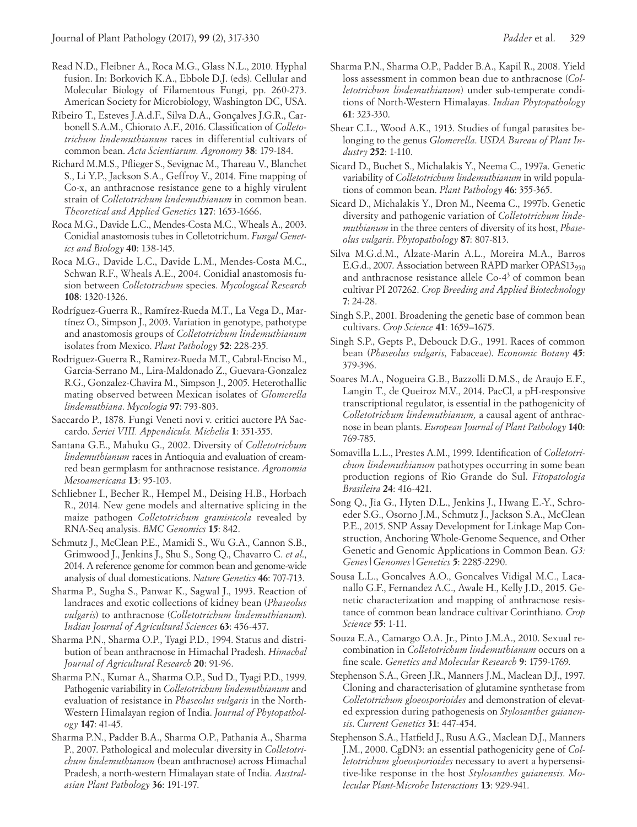- Read N.D., Fleibner A., Roca M.G., Glass N.L., 2010. Hyphal fusion. In: Borkovich K.A., Ebbole D.J. (eds). Cellular and Molecular Biology of Filamentous Fungi, pp. 260-273. American Society for Microbiology, Washington DC, USA.
- Ribeiro T., Esteves J.A.d.F., Silva D.A., Gonçalves J.G.R., Carbonell S.A.M., Chiorato A.F., 2016. Classification of *Colletotrichum lindemuthianum* races in differential cultivars of common bean. *Acta Scientiarum. Agronomy* **38**: 179-184.
- Richard M.M.S., Pflieger S., Sevignac M., Thareau V., Blanchet S., Li Y.P., Jackson S.A., Geffroy V., 2014. Fine mapping of Co-x, an anthracnose resistance gene to a highly virulent strain of *Colletotrichum lindemuthianum* in common bean. *Theoretical and Applied Genetics* **127**: 1653-1666.
- Roca M.G., Davide L.C., Mendes-Costa M.C., Wheals A., 2003. Conidial anastomosis tubes in Colletotrichum. *Fungal Genetics and Biology* **40**: 138-145.
- Roca M.G., Davide L.C., Davide L.M., Mendes-Costa M.C., Schwan R.F., Wheals A.E., 2004. Conidial anastomosis fusion between *Colletotrichum* species. *Mycological Research* **108**: 1320-1326.
- Rodríguez-Guerra R., Ramírez-Rueda M.T., La Vega D., Martínez O., Simpson J., 2003. Variation in genotype, pathotype and anastomosis groups of *Colletotrichum lindemuthianum* isolates from Mexico. *Plant Pathology* **52**: 228-235.
- Rodriguez-Guerra R., Ramirez-Rueda M.T., Cabral-Enciso M., Garcia-Serrano M., Lira-Maldonado Z., Guevara-Gonzalez R.G., Gonzalez-Chavira M., Simpson J., 2005. Heterothallic mating observed between Mexican isolates of *Glomerella lindemuthiana*. *Mycologia* **97**: 793-803.
- Saccardo P., 1878. Fungi Veneti novi v. critici auctore PA Saccardo. *Seriei VIII. Appendicula. Michelia* **1**: 351-355.
- Santana G.E., Mahuku G., 2002. Diversity of *Colletotrichum lindemuthianum* races in Antioquia and evaluation of creamred bean germplasm for anthracnose resistance. *Agronomia Mesoamericana* **13**: 95-103.
- Schliebner I., Becher R., Hempel M., Deising H.B., Horbach R., 2014. New gene models and alternative splicing in the maize pathogen *Colletotrichum graminicola* revealed by RNA-Seq analysis. *BMC Genomics* **15**: 842.
- Schmutz J., McClean P.E., Mamidi S., Wu G.A., Cannon S.B., Grimwood J., Jenkins J., Shu S., Song Q., Chavarro C. *et al*., 2014. A reference genome for common bean and genome-wide analysis of dual domestications. *Nature Genetics* **46**: 707-713.
- Sharma P., Sugha S., Panwar K., Sagwal J., 1993. Reaction of landraces and exotic collections of kidney bean (*Phaseolus vulgaris*) to anthracnose (*Colletotrichum lindemuthianum*). *Indian Journal of Agricultural Sciences* **63**: 456-457.
- Sharma P.N., Sharma O.P., Tyagi P.D., 1994. Status and distribution of bean anthracnose in Himachal Pradesh. *Himachal Journal of Agricultural Research* **20**: 91-96.
- Sharma P.N., Kumar A., Sharma O.P., Sud D., Tyagi P.D., 1999. Pathogenic variability in *Colletotrichum lindemuthianum* and evaluation of resistance in *Phaseolus vulgaris* in the North-Western Himalayan region of India. *Journal of Phytopathology* **147**: 41-45.
- Sharma P.N., Padder B.A., Sharma O.P., Pathania A., Sharma P., 2007. Pathological and molecular diversity in *Colletotrichum lindemuthianum* (bean anthracnose) across Himachal Pradesh, a north-western Himalayan state of India. *Australasian Plant Pathology* **36**: 191-197.
- Sharma P.N., Sharma O.P., Padder B.A., Kapil R., 2008. Yield loss assessment in common bean due to anthracnose (*Colletotrichum lindemuthianum*) under sub-temperate conditions of North-Western Himalayas. *Indian Phytopathology* **61**: 323-330.
- Shear C.L., Wood A.K., 1913. Studies of fungal parasites belonging to the genus *Glomerella*. *USDA Bureau of Plant Industry* **252**: 1-110.
- Sicard D., Buchet S., Michalakis Y., Neema C., 1997a. Genetic variability of *Colletotrichum lindemuthianum* in wild populations of common bean. *Plant Pathology* **46**: 355-365.
- Sicard D., Michalakis Y., Dron M., Neema C., 1997b. Genetic diversity and pathogenic variation of *Colletotrichum lindemuthianum* in the three centers of diversity of its host, *Phaseolus vulgaris*. *Phytopathology* **87**: 807-813.
- Silva M.G.d.M., Alzate-Marin A.L., Moreira M.A., Barros E.G.d., 2007. Association between RAPD marker OPAS13<sub>950</sub> and anthracnose resistance allele Co-43 of common bean cultivar PI 207262. *Crop Breeding and Applied Biotechnology* **7**: 24-28.
- Singh S.P., 2001. Broadening the genetic base of common bean cultivars. *Crop Science* **41**: 1659–1675.
- Singh S.P., Gepts P., Debouck D.G., 1991. Races of common bean (*Phaseolus vulgaris*, Fabaceae). *Economic Botany* **45**: 379-396.
- Soares M.A., Nogueira G.B., Bazzolli D.M.S., de Araujo E.F., Langin T., de Queiroz M.V., 2014. PacCl, a pH-responsive transcriptional regulator, is essential in the pathogenicity of *Colletotrichum lindemuthianum,* a causal agent of anthracnose in bean plants. *European Journal of Plant Pathology* **140**: 769-785.
- Somavilla L.L., Prestes A.M., 1999. Identification of *Colletotrichum lindemuthianum* pathotypes occurring in some bean production regions of Rio Grande do Sul. *Fitopatologia Brasileira* **24**: 416-421.
- Song Q., Jia G., Hyten D.L., Jenkins J., Hwang E.-Y., Schroeder S.G., Osorno J.M., Schmutz J., Jackson S.A., McClean P.E., 2015. SNP Assay Development for Linkage Map Construction, Anchoring Whole-Genome Sequence, and Other Genetic and Genomic Applications in Common Bean. *G3: Genes| Genomes| Genetics* **5**: 2285-2290.
- Sousa L.L., Goncalves A.O., Goncalves Vidigal M.C., Lacanallo G.F., Fernandez A.C., Awale H., Kelly J.D., 2015. Genetic characterization and mapping of anthracnose resistance of common bean landrace cultivar Corinthiano. *Crop Science* **55**: 1-11.
- Souza E.A., Camargo O.A. Jr., Pinto J.M.A., 2010. Sexual recombination in *Colletotrichum lindemuthianum* occurs on a fine scale. *Genetics and Molecular Research* **9**: 1759-1769.
- Stephenson S.A., Green J.R., Manners J.M., Maclean D.J., 1997. Cloning and characterisation of glutamine synthetase from *Colletotrichum gloeosporioides* and demonstration of elevated expression during pathogenesis on *Stylosanthes guianensis*. *Current Genetics* **31**: 447-454.
- Stephenson S.A., Hatfield J., Rusu A.G., Maclean D.J., Manners J.M., 2000. CgDN3: an essential pathogenicity gene of *Colletotrichum gloeosporioides* necessary to avert a hypersensitive-like response in the host *Stylosanthes guianensis*. *Molecular Plant-Microbe Interactions* **13**: 929-941.